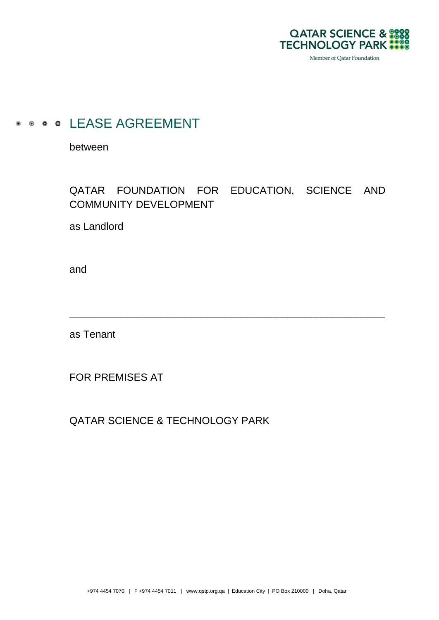

Member of Qatar Foundation

# **.** . . . LEASE AGREEMENT

between

# QATAR FOUNDATION FOR EDUCATION, SCIENCE AND COMMUNITY DEVELOPMENT

\_\_\_\_\_\_\_\_\_\_\_\_\_\_\_\_\_\_\_\_\_\_\_\_\_\_\_\_\_\_\_\_\_\_\_\_\_\_\_\_\_\_\_\_\_\_\_\_\_\_\_\_\_\_\_

as Landlord

and

as Tenant

FOR PREMISES AT

QATAR SCIENCE & TECHNOLOGY PARK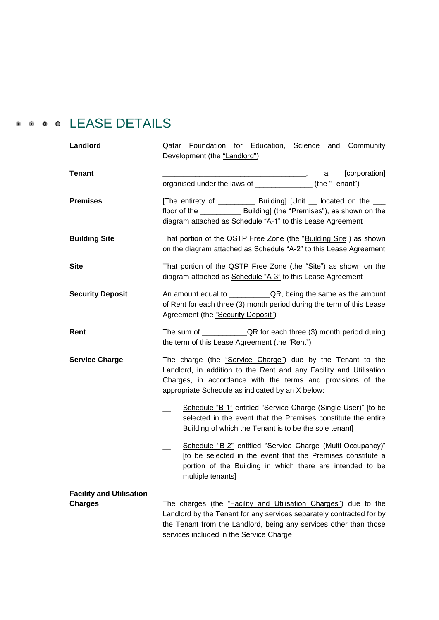# **.** . . LEASE DETAILS

| Landlord                        | Qatar Foundation for Education, Science and Community<br>Development (the "Landlord")                                                                                                                                                               |  |  |  |
|---------------------------------|-----------------------------------------------------------------------------------------------------------------------------------------------------------------------------------------------------------------------------------------------------|--|--|--|
| <b>Tenant</b>                   | [corporation]<br>a l                                                                                                                                                                                                                                |  |  |  |
|                                 | organised under the laws of ______________(the "Tenant")                                                                                                                                                                                            |  |  |  |
| <b>Premises</b>                 | [The entirety of ____________ Building] [Unit __ located on the ___<br>floor of the ______________ Building] (the "Premises"), as shown on the<br>diagram attached as Schedule "A-1" to this Lease Agreement                                        |  |  |  |
| <b>Building Site</b>            | That portion of the QSTP Free Zone (the "Building Site") as shown<br>on the diagram attached as Schedule "A-2" to this Lease Agreement                                                                                                              |  |  |  |
| <b>Site</b>                     | That portion of the QSTP Free Zone (the "Site") as shown on the<br>diagram attached as Schedule "A-3" to this Lease Agreement                                                                                                                       |  |  |  |
| <b>Security Deposit</b>         | of Rent for each three (3) month period during the term of this Lease<br>Agreement (the "Security Deposit")                                                                                                                                         |  |  |  |
| Rent                            | the term of this Lease Agreement (the "Rent")                                                                                                                                                                                                       |  |  |  |
| <b>Service Charge</b>           | The charge (the "Service Charge") due by the Tenant to the<br>Landlord, in addition to the Rent and any Facility and Utilisation<br>Charges, in accordance with the terms and provisions of the<br>appropriate Schedule as indicated by an X below: |  |  |  |
|                                 | Schedule "B-1" entitled "Service Charge (Single-User)" [to be<br>selected in the event that the Premises constitute the entire<br>Building of which the Tenant is to be the sole tenant]                                                            |  |  |  |
|                                 | Schedule "B-2" entitled "Service Charge (Multi-Occupancy)"<br>[to be selected in the event that the Premises constitute a<br>portion of the Building in which there are intended to be<br>multiple tenants]                                         |  |  |  |
| <b>Facility and Utilisation</b> |                                                                                                                                                                                                                                                     |  |  |  |
| <b>Charges</b>                  | The charges (the "Facility and Utilisation Charges") due to the                                                                                                                                                                                     |  |  |  |
|                                 | Landlord by the Tenant for any services separately contracted for by                                                                                                                                                                                |  |  |  |
|                                 | the Tenant from the Landlord, being any services other than those<br>services included in the Service Charge                                                                                                                                        |  |  |  |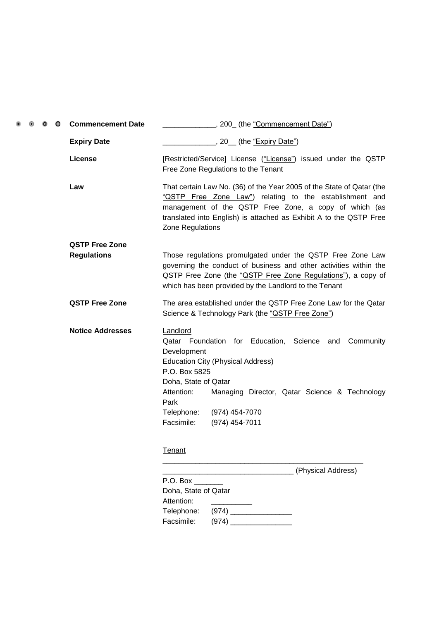| $\circ$ | ۰ | $\bullet$ | <b>Commencement Date</b> |                                                                                                                                                                                                                                                                                                                        |
|---------|---|-----------|--------------------------|------------------------------------------------------------------------------------------------------------------------------------------------------------------------------------------------------------------------------------------------------------------------------------------------------------------------|
|         |   |           | <b>Expiry Date</b>       | _, 20__ (the <u>"Expiry Date")</u>                                                                                                                                                                                                                                                                                     |
|         |   |           | <b>License</b>           | [Restricted/Service] License ("License") issued under the QSTP<br>Free Zone Regulations to the Tenant                                                                                                                                                                                                                  |
|         |   |           | Law                      | That certain Law No. (36) of the Year 2005 of the State of Qatar (the<br>"QSTP Free Zone Law") relating to the establishment and<br>management of the QSTP Free Zone, a copy of which (as<br>translated into English) is attached as Exhibit A to the QSTP Free<br>Zone Regulations                                    |
|         |   |           | <b>QSTP Free Zone</b>    |                                                                                                                                                                                                                                                                                                                        |
|         |   |           | <b>Regulations</b>       | Those regulations promulgated under the QSTP Free Zone Law<br>governing the conduct of business and other activities within the<br>QSTP Free Zone (the "QSTP Free Zone Regulations"), a copy of<br>which has been provided by the Landlord to the Tenant                                                               |
|         |   |           | <b>QSTP Free Zone</b>    | The area established under the QSTP Free Zone Law for the Qatar<br>Science & Technology Park (the "QSTP Free Zone")                                                                                                                                                                                                    |
|         |   |           | <b>Notice Addresses</b>  | Landlord<br>Qatar Foundation for Education, Science and Community<br>Development<br><b>Education City (Physical Address)</b><br>P.O. Box 5825<br>Doha, State of Qatar<br>Attention:<br>Managing Director, Qatar Science & Technology<br>Park<br>Telephone:<br>(974) 454-7070<br>Facsimile:<br>(974) 454-7011<br>Tenant |
|         |   |           |                          |                                                                                                                                                                                                                                                                                                                        |
|         |   |           |                          | (Physical Address)<br>$P.O.$ Box $\_\_\_\_\_\_\_\_\_\_\_\_\_$                                                                                                                                                                                                                                                          |
|         |   |           |                          | Doha, State of Qatar<br>Attention:                                                                                                                                                                                                                                                                                     |
|         |   |           |                          | Telephone:                                                                                                                                                                                                                                                                                                             |
|         |   |           |                          | Facsimile:                                                                                                                                                                                                                                                                                                             |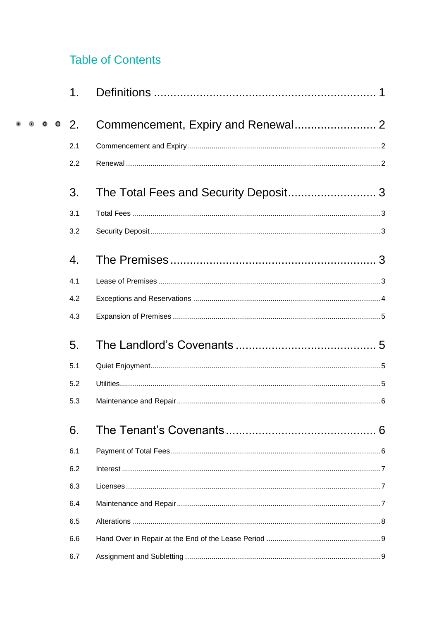# **Table of Contents**

|           | 1.            |  |
|-----------|---------------|--|
| $\bullet$ | <sup>2.</sup> |  |
|           | 2.1           |  |
|           | 2.2           |  |
|           | 3.            |  |
|           | 3.1           |  |
|           | 3.2           |  |
|           | 4.            |  |
|           | 4.1           |  |
|           | 4.2           |  |
|           | 4.3           |  |
|           | 5.            |  |
|           | 5.1           |  |
|           | 5.2           |  |
|           | 5.3           |  |
|           | 6.            |  |
|           | 6.1           |  |
|           | 6.2           |  |
|           | 6.3           |  |
|           | 6.4           |  |
|           | 6.5           |  |
|           | 6.6           |  |
|           | 6.7           |  |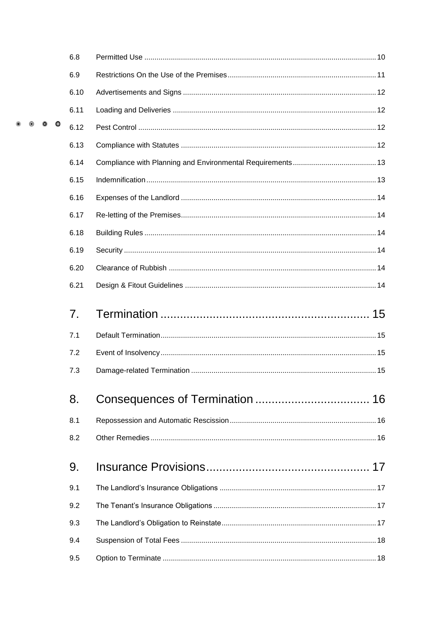|  |           | 6.8  |  |
|--|-----------|------|--|
|  |           | 6.9  |  |
|  |           | 6.10 |  |
|  |           | 6.11 |  |
|  | $\bullet$ | 6.12 |  |
|  |           | 6.13 |  |
|  |           | 6.14 |  |
|  |           | 6.15 |  |
|  |           | 6.16 |  |
|  |           | 6.17 |  |
|  |           | 6.18 |  |
|  |           | 6.19 |  |
|  |           | 6.20 |  |
|  |           | 6.21 |  |
|  |           | 7.   |  |
|  |           | 7.1  |  |
|  |           | 7.2  |  |
|  |           | 7.3  |  |
|  |           | 8.   |  |
|  |           | 8.1  |  |
|  |           | 8.2  |  |
|  |           | 9.   |  |
|  |           | 9.1  |  |
|  |           | 9.2  |  |
|  |           | 9.3  |  |
|  |           | 9.4  |  |
|  |           | 9.5  |  |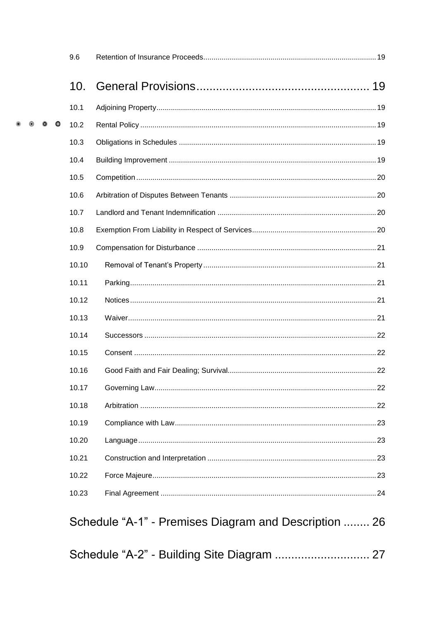|  |           | 9.6   |                                                       |  |
|--|-----------|-------|-------------------------------------------------------|--|
|  |           | 10.   |                                                       |  |
|  |           | 10.1  |                                                       |  |
|  | $\bullet$ | 10.2  |                                                       |  |
|  |           | 10.3  |                                                       |  |
|  |           | 10.4  |                                                       |  |
|  |           | 10.5  |                                                       |  |
|  |           | 10.6  |                                                       |  |
|  |           | 10.7  |                                                       |  |
|  |           | 10.8  |                                                       |  |
|  |           | 10.9  |                                                       |  |
|  |           | 10.10 |                                                       |  |
|  |           | 10.11 |                                                       |  |
|  |           | 10.12 |                                                       |  |
|  |           | 10.13 |                                                       |  |
|  |           | 10.14 |                                                       |  |
|  |           | 10.15 |                                                       |  |
|  |           | 10.16 |                                                       |  |
|  |           | 10.17 |                                                       |  |
|  |           | 10.18 |                                                       |  |
|  |           | 10.19 |                                                       |  |
|  |           | 10.20 |                                                       |  |
|  |           | 10.21 |                                                       |  |
|  |           | 10.22 |                                                       |  |
|  |           | 10.23 |                                                       |  |
|  |           |       | Schedule "A-1" - Premises Diagram and Description  26 |  |
|  |           |       |                                                       |  |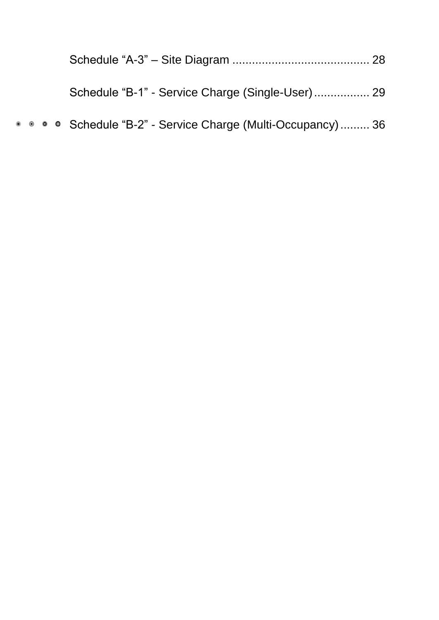| • • • Schedule "B-2" - Service Charge (Multi-Occupancy) 36 |  |
|------------------------------------------------------------|--|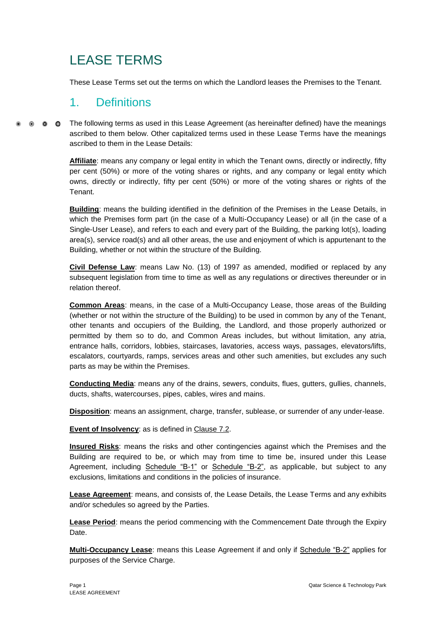# LEASE TERMS

These Lease Terms set out the terms on which the Landlord leases the Premises to the Tenant.

# <span id="page-7-0"></span>1. Definitions

 $\bullet$   $\bullet$   $\bullet$ The following terms as used in this Lease Agreement (as hereinafter defined) have the meanings ascribed to them below. Other capitalized terms used in these Lease Terms have the meanings ascribed to them in the Lease Details:

> **Affiliate**: means any company or legal entity in which the Tenant owns, directly or indirectly, fifty per cent (50%) or more of the voting shares or rights, and any company or legal entity which owns, directly or indirectly, fifty per cent (50%) or more of the voting shares or rights of the Tenant.

> **Building**: means the building identified in the definition of the Premises in the Lease Details, in which the Premises form part (in the case of a Multi-Occupancy Lease) or all (in the case of a Single-User Lease), and refers to each and every part of the Building, the parking lot(s), loading area(s), service road(s) and all other areas, the use and enjoyment of which is appurtenant to the Building, whether or not within the structure of the Building.

> **Civil Defense Law**: means Law No. (13) of 1997 as amended, modified or replaced by any subsequent legislation from time to time as well as any regulations or directives thereunder or in relation thereof.

> **Common Areas**: means, in the case of a Multi-Occupancy Lease, those areas of the Building (whether or not within the structure of the Building) to be used in common by any of the Tenant, other tenants and occupiers of the Building, the Landlord, and those properly authorized or permitted by them so to do, and Common Areas includes, but without limitation, any atria, entrance halls, corridors, lobbies, staircases, lavatories, access ways, passages, elevators/lifts, escalators, courtyards, ramps, services areas and other such amenities, but excludes any such parts as may be within the Premises.

> **Conducting Media**: means any of the drains, sewers, conduits, flues, gutters, gullies, channels, ducts, shafts, watercourses, pipes, cables, wires and mains.

> **Disposition**: means an assignment, charge, transfer, sublease, or surrender of any under-lease.

**Event of Insolvency:** as is defined in Clause 7.2.

**Insured Risks**: means the risks and other contingencies against which the Premises and the Building are required to be, or which may from time to time be, insured under this Lease Agreement, including Schedule "B-1" or Schedule "B-2", as applicable, but subject to any exclusions, limitations and conditions in the policies of insurance.

**Lease Agreement**: means, and consists of, the Lease Details, the Lease Terms and any exhibits and/or schedules so agreed by the Parties.

**Lease Period**: means the period commencing with the Commencement Date through the Expiry Date.

**Multi-Occupancy Lease:** means this Lease Agreement if and only if Schedule "B-2" applies for purposes of the Service Charge.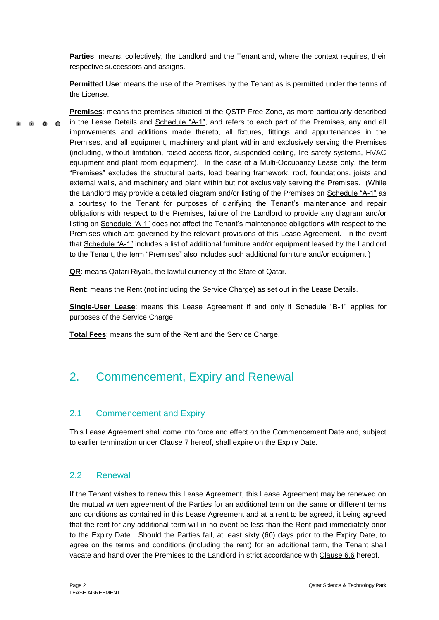**Parties**: means, collectively, the Landlord and the Tenant and, where the context requires, their respective successors and assigns.

**Permitted Use**: means the use of the Premises by the Tenant as is permitted under the terms of the License.

**Premises**: means the premises situated at the QSTP Free Zone, as more particularly described in the Lease Details and Schedule "A-1", and refers to each part of the Premises, any and all  $\bullet$   $\bullet$   $\bullet$ improvements and additions made thereto, all fixtures, fittings and appurtenances in the Premises, and all equipment, machinery and plant within and exclusively serving the Premises (including, without limitation, raised access floor, suspended ceiling, life safety systems, HVAC equipment and plant room equipment). In the case of a Multi-Occupancy Lease only, the term "Premises" excludes the structural parts, load bearing framework, roof, foundations, joists and external walls, and machinery and plant within but not exclusively serving the Premises. (While the Landlord may provide a detailed diagram and/or listing of the Premises on Schedule "A-1" as a courtesy to the Tenant for purposes of clarifying the Tenant's maintenance and repair obligations with respect to the Premises, failure of the Landlord to provide any diagram and/or listing on Schedule "A-1" does not affect the Tenant's maintenance obligations with respect to the Premises which are governed by the relevant provisions of this Lease Agreement. In the event that Schedule "A-1" includes a list of additional furniture and/or equipment leased by the Landlord to the Tenant, the term "Premises" also includes such additional furniture and/or equipment.)

**QR**: means Qatari Riyals, the lawful currency of the State of Qatar.

**Rent**: means the Rent (not including the Service Charge) as set out in the Lease Details.

**Single-User Lease**: means this Lease Agreement if and only if Schedule "B-1" applies for purposes of the Service Charge.

<span id="page-8-0"></span>**Total Fees**: means the sum of the Rent and the Service Charge.

# 2. Commencement, Expiry and Renewal

# <span id="page-8-1"></span>2.1 Commencement and Expiry

This Lease Agreement shall come into force and effect on the Commencement Date and, subject to earlier termination under Clause 7 hereof, shall expire on the Expiry Date.

# <span id="page-8-2"></span>2.2 Renewal

If the Tenant wishes to renew this Lease Agreement, this Lease Agreement may be renewed on the mutual written agreement of the Parties for an additional term on the same or different terms and conditions as contained in this Lease Agreement and at a rent to be agreed, it being agreed that the rent for any additional term will in no event be less than the Rent paid immediately prior to the Expiry Date. Should the Parties fail, at least sixty (60) days prior to the Expiry Date, to agree on the terms and conditions (including the rent) for an additional term, the Tenant shall vacate and hand over the Premises to the Landlord in strict accordance with Clause 6.6 hereof.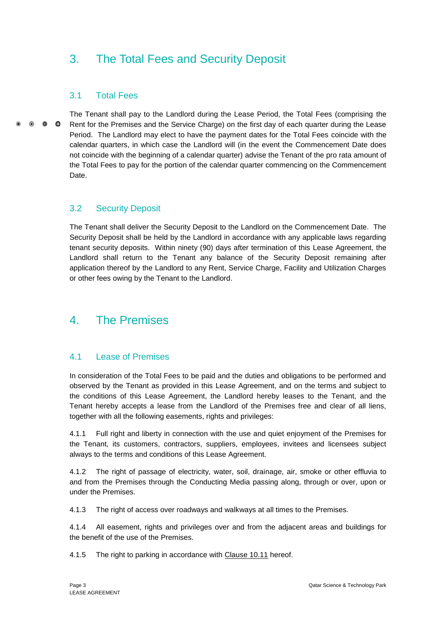# <span id="page-9-0"></span>3. The Total Fees and Security Deposit

# <span id="page-9-1"></span>3.1 Total Fees

The Tenant shall pay to the Landlord during the Lease Period, the Total Fees (comprising the  $\bullet$   $\bullet$   $\bullet$ Rent for the Premises and the Service Charge) on the first day of each quarter during the Lease Period. The Landlord may elect to have the payment dates for the Total Fees coincide with the calendar quarters, in which case the Landlord will (in the event the Commencement Date does not coincide with the beginning of a calendar quarter) advise the Tenant of the pro rata amount of the Total Fees to pay for the portion of the calendar quarter commencing on the Commencement Date.

# <span id="page-9-2"></span>3.2 Security Deposit

The Tenant shall deliver the Security Deposit to the Landlord on the Commencement Date. The Security Deposit shall be held by the Landlord in accordance with any applicable laws regarding tenant security deposits. Within ninety (90) days after termination of this Lease Agreement, the Landlord shall return to the Tenant any balance of the Security Deposit remaining after application thereof by the Landlord to any Rent, Service Charge, Facility and Utilization Charges or other fees owing by the Tenant to the Landlord.

# <span id="page-9-3"></span>4. The Premises

# <span id="page-9-4"></span>4.1 Lease of Premises

In consideration of the Total Fees to be paid and the duties and obligations to be performed and observed by the Tenant as provided in this Lease Agreement, and on the terms and subject to the conditions of this Lease Agreement, the Landlord hereby leases to the Tenant, and the Tenant hereby accepts a lease from the Landlord of the Premises free and clear of all liens, together with all the following easements, rights and privileges:

4.1.1 Full right and liberty in connection with the use and quiet enjoyment of the Premises for the Tenant, its customers, contractors, suppliers, employees, invitees and licensees subject always to the terms and conditions of this Lease Agreement.

4.1.2 The right of passage of electricity, water, soil, drainage, air, smoke or other effluvia to and from the Premises through the Conducting Media passing along, through or over, upon or under the Premises.

4.1.3 The right of access over roadways and walkways at all times to the Premises.

4.1.4 All easement, rights and privileges over and from the adjacent areas and buildings for the benefit of the use of the Premises.

4.1.5 The right to parking in accordance with Clause 10.11 hereof.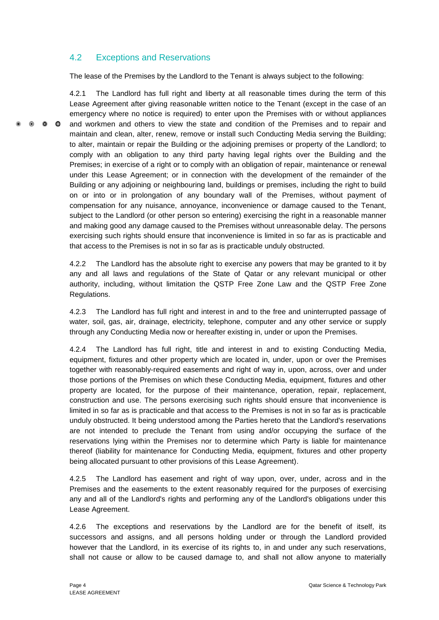# <span id="page-10-0"></span>4.2 Exceptions and Reservations

The lease of the Premises by the Landlord to the Tenant is always subject to the following:

4.2.1 The Landlord has full right and liberty at all reasonable times during the term of this Lease Agreement after giving reasonable written notice to the Tenant (except in the case of an emergency where no notice is required) to enter upon the Premises with or without appliances  $\bullet$   $\bullet$   $\bullet$ and workmen and others to view the state and condition of the Premises and to repair and maintain and clean, alter, renew, remove or install such Conducting Media serving the Building; to alter, maintain or repair the Building or the adjoining premises or property of the Landlord; to comply with an obligation to any third party having legal rights over the Building and the Premises; in exercise of a right or to comply with an obligation of repair, maintenance or renewal under this Lease Agreement; or in connection with the development of the remainder of the Building or any adjoining or neighbouring land, buildings or premises, including the right to build on or into or in prolongation of any boundary wall of the Premises, without payment of compensation for any nuisance, annoyance, inconvenience or damage caused to the Tenant, subject to the Landlord (or other person so entering) exercising the right in a reasonable manner and making good any damage caused to the Premises without unreasonable delay. The persons exercising such rights should ensure that inconvenience is limited in so far as is practicable and that access to the Premises is not in so far as is practicable unduly obstructed.

> 4.2.2 The Landlord has the absolute right to exercise any powers that may be granted to it by any and all laws and regulations of the State of Qatar or any relevant municipal or other authority, including, without limitation the QSTP Free Zone Law and the QSTP Free Zone Regulations.

> 4.2.3 The Landlord has full right and interest in and to the free and uninterrupted passage of water, soil, gas, air, drainage, electricity, telephone, computer and any other service or supply through any Conducting Media now or hereafter existing in, under or upon the Premises.

> 4.2.4 The Landlord has full right, title and interest in and to existing Conducting Media, equipment, fixtures and other property which are located in, under, upon or over the Premises together with reasonably-required easements and right of way in, upon, across, over and under those portions of the Premises on which these Conducting Media, equipment, fixtures and other property are located, for the purpose of their maintenance, operation, repair, replacement, construction and use. The persons exercising such rights should ensure that inconvenience is limited in so far as is practicable and that access to the Premises is not in so far as is practicable unduly obstructed. It being understood among the Parties hereto that the Landlord's reservations are not intended to preclude the Tenant from using and/or occupying the surface of the reservations lying within the Premises nor to determine which Party is liable for maintenance thereof (liability for maintenance for Conducting Media, equipment, fixtures and other property being allocated pursuant to other provisions of this Lease Agreement).

> 4.2.5 The Landlord has easement and right of way upon, over, under, across and in the Premises and the easements to the extent reasonably required for the purposes of exercising any and all of the Landlord's rights and performing any of the Landlord's obligations under this Lease Agreement.

> 4.2.6 The exceptions and reservations by the Landlord are for the benefit of itself, its successors and assigns, and all persons holding under or through the Landlord provided however that the Landlord, in its exercise of its rights to, in and under any such reservations, shall not cause or allow to be caused damage to, and shall not allow anyone to materially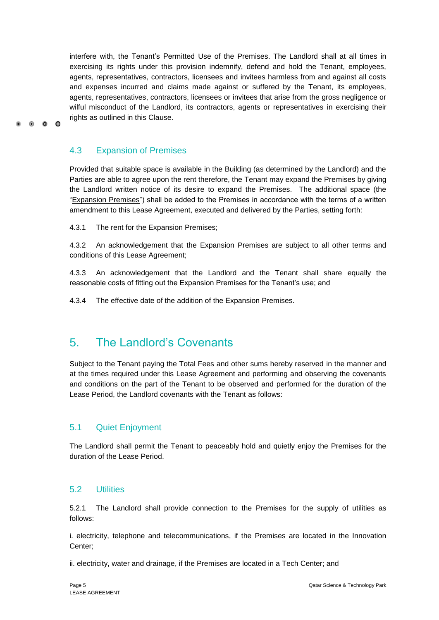interfere with, the Tenant's Permitted Use of the Premises. The Landlord shall at all times in exercising its rights under this provision indemnify, defend and hold the Tenant, employees, agents, representatives, contractors, licensees and invitees harmless from and against all costs and expenses incurred and claims made against or suffered by the Tenant, its employees, agents, representatives, contractors, licensees or invitees that arise from the gross negligence or wilful misconduct of the Landlord, its contractors, agents or representatives in exercising their rights as outlined in this Clause.

# <span id="page-11-0"></span>4.3 Expansion of Premises

 $0 \quad 0 \quad 0$ 

Provided that suitable space is available in the Building (as determined by the Landlord) and the Parties are able to agree upon the rent therefore, the Tenant may expand the Premises by giving the Landlord written notice of its desire to expand the Premises. The additional space (the "Expansion Premises") shall be added to the Premises in accordance with the terms of a written amendment to this Lease Agreement, executed and delivered by the Parties, setting forth:

4.3.1 The rent for the Expansion Premises;

4.3.2 An acknowledgement that the Expansion Premises are subject to all other terms and conditions of this Lease Agreement;

4.3.3 An acknowledgement that the Landlord and the Tenant shall share equally the reasonable costs of fitting out the Expansion Premises for the Tenant's use; and

<span id="page-11-1"></span>4.3.4 The effective date of the addition of the Expansion Premises.

# 5. The Landlord's Covenants

Subject to the Tenant paying the Total Fees and other sums hereby reserved in the manner and at the times required under this Lease Agreement and performing and observing the covenants and conditions on the part of the Tenant to be observed and performed for the duration of the Lease Period, the Landlord covenants with the Tenant as follows:

# <span id="page-11-2"></span>5.1 Quiet Enjoyment

The Landlord shall permit the Tenant to peaceably hold and quietly enjoy the Premises for the duration of the Lease Period.

### <span id="page-11-3"></span>5.2 Utilities

5.2.1 The Landlord shall provide connection to the Premises for the supply of utilities as follows:

i. electricity, telephone and telecommunications, if the Premises are located in the Innovation Center;

ii. electricity, water and drainage, if the Premises are located in a Tech Center; and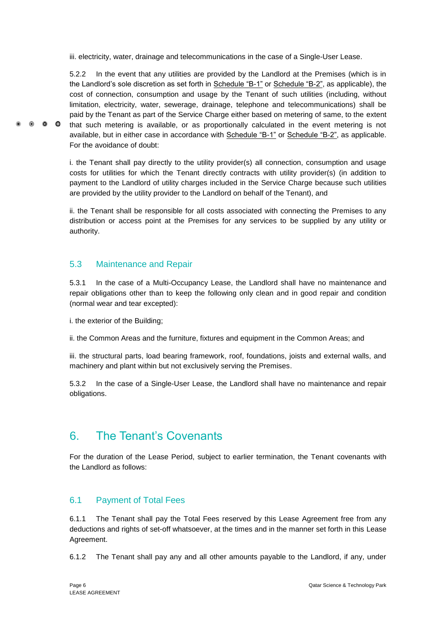iii. electricity, water, drainage and telecommunications in the case of a Single-User Lease.

5.2.2 In the event that any utilities are provided by the Landlord at the Premises (which is in the Landlord's sole discretion as set forth in Schedule "B-1" or Schedule "B-2", as applicable), the cost of connection, consumption and usage by the Tenant of such utilities (including, without limitation, electricity, water, sewerage, drainage, telephone and telecommunications) shall be paid by the Tenant as part of the Service Charge either based on metering of same, to the extent that such metering is available, or as proportionally calculated in the event metering is not available, but in either case in accordance with Schedule "B-1" or Schedule "B-2", as applicable. For the avoidance of doubt:

i. the Tenant shall pay directly to the utility provider(s) all connection, consumption and usage costs for utilities for which the Tenant directly contracts with utility provider(s) (in addition to payment to the Landlord of utility charges included in the Service Charge because such utilities are provided by the utility provider to the Landlord on behalf of the Tenant), and

ii. the Tenant shall be responsible for all costs associated with connecting the Premises to any distribution or access point at the Premises for any services to be supplied by any utility or authority.

# <span id="page-12-0"></span>5.3 Maintenance and Repair

5.3.1 In the case of a Multi-Occupancy Lease, the Landlord shall have no maintenance and repair obligations other than to keep the following only clean and in good repair and condition (normal wear and tear excepted):

i. the exterior of the Building;

 $\circ$   $\circ$   $\circ$ 

ii. the Common Areas and the furniture, fixtures and equipment in the Common Areas; and

iii. the structural parts, load bearing framework, roof, foundations, joists and external walls, and machinery and plant within but not exclusively serving the Premises.

5.3.2 In the case of a Single-User Lease, the Landlord shall have no maintenance and repair obligations.

# <span id="page-12-1"></span>6. The Tenant's Covenants

For the duration of the Lease Period, subject to earlier termination, the Tenant covenants with the Landlord as follows:

# <span id="page-12-2"></span>6.1 Payment of Total Fees

6.1.1 The Tenant shall pay the Total Fees reserved by this Lease Agreement free from any deductions and rights of set-off whatsoever, at the times and in the manner set forth in this Lease Agreement.

6.1.2 The Tenant shall pay any and all other amounts payable to the Landlord, if any, under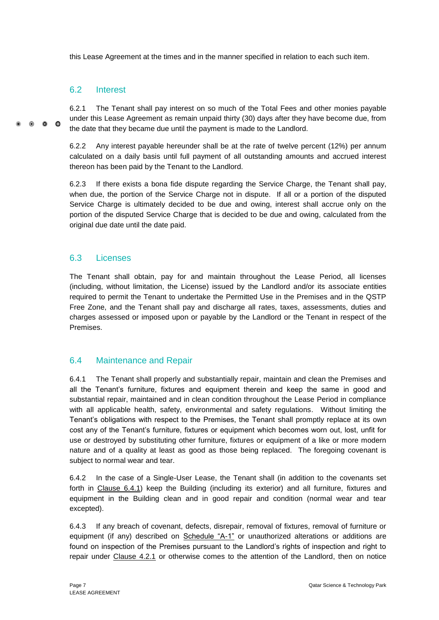this Lease Agreement at the times and in the manner specified in relation to each such item.

# <span id="page-13-0"></span>6.2 Interest

6.2.1 The Tenant shall pay interest on so much of the Total Fees and other monies payable under this Lease Agreement as remain unpaid thirty (30) days after they have become due, from  $\bullet$   $\bullet$ the date that they became due until the payment is made to the Landlord.

> 6.2.2 Any interest payable hereunder shall be at the rate of twelve percent (12%) per annum calculated on a daily basis until full payment of all outstanding amounts and accrued interest thereon has been paid by the Tenant to the Landlord.

> 6.2.3 If there exists a bona fide dispute regarding the Service Charge, the Tenant shall pay, when due, the portion of the Service Charge not in dispute. If all or a portion of the disputed Service Charge is ultimately decided to be due and owing, interest shall accrue only on the portion of the disputed Service Charge that is decided to be due and owing, calculated from the original due date until the date paid.

# <span id="page-13-1"></span>6.3 Licenses

The Tenant shall obtain, pay for and maintain throughout the Lease Period, all licenses (including, without limitation, the License) issued by the Landlord and/or its associate entities required to permit the Tenant to undertake the Permitted Use in the Premises and in the QSTP Free Zone, and the Tenant shall pay and discharge all rates, taxes, assessments, duties and charges assessed or imposed upon or payable by the Landlord or the Tenant in respect of the Premises.

# <span id="page-13-2"></span>6.4 Maintenance and Repair

6.4.1 The Tenant shall properly and substantially repair, maintain and clean the Premises and all the Tenant's furniture, fixtures and equipment therein and keep the same in good and substantial repair, maintained and in clean condition throughout the Lease Period in compliance with all applicable health, safety, environmental and safety regulations. Without limiting the Tenant's obligations with respect to the Premises, the Tenant shall promptly replace at its own cost any of the Tenant's furniture, fixtures or equipment which becomes worn out, lost, unfit for use or destroyed by substituting other furniture, fixtures or equipment of a like or more modern nature and of a quality at least as good as those being replaced. The foregoing covenant is subject to normal wear and tear.

6.4.2 In the case of a Single-User Lease, the Tenant shall (in addition to the covenants set forth in Clause 6.4.1) keep the Building (including its exterior) and all furniture, fixtures and equipment in the Building clean and in good repair and condition (normal wear and tear excepted).

6.4.3 If any breach of covenant, defects, disrepair, removal of fixtures, removal of furniture or equipment (if any) described on Schedule "A-1" or unauthorized alterations or additions are found on inspection of the Premises pursuant to the Landlord's rights of inspection and right to repair under Clause 4.2.1 or otherwise comes to the attention of the Landlord, then on notice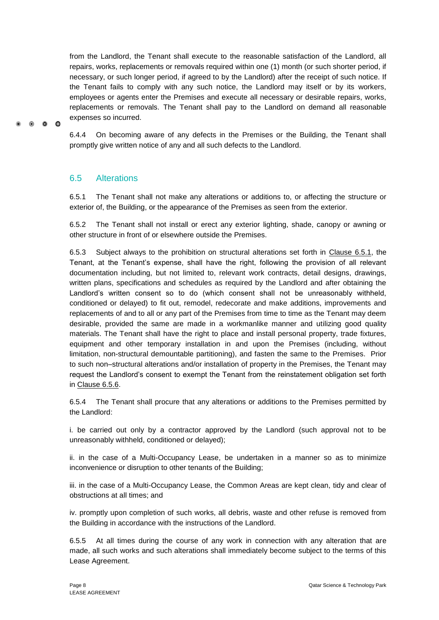from the Landlord, the Tenant shall execute to the reasonable satisfaction of the Landlord, all repairs, works, replacements or removals required within one (1) month (or such shorter period, if necessary, or such longer period, if agreed to by the Landlord) after the receipt of such notice. If the Tenant fails to comply with any such notice, the Landlord may itself or by its workers, employees or agents enter the Premises and execute all necessary or desirable repairs, works, replacements or removals. The Tenant shall pay to the Landlord on demand all reasonable expenses so incurred.

6.4.4 On becoming aware of any defects in the Premises or the Building, the Tenant shall promptly give written notice of any and all such defects to the Landlord.

# <span id="page-14-0"></span>6.5 Alterations

 $\bullet$   $\bullet$   $\bullet$ 

6.5.1 The Tenant shall not make any alterations or additions to, or affecting the structure or exterior of, the Building, or the appearance of the Premises as seen from the exterior.

6.5.2 The Tenant shall not install or erect any exterior lighting, shade, canopy or awning or other structure in front of or elsewhere outside the Premises.

6.5.3 Subject always to the prohibition on structural alterations set forth in Clause 6.5.1, the Tenant, at the Tenant's expense, shall have the right, following the provision of all relevant documentation including, but not limited to, relevant work contracts, detail designs, drawings, written plans, specifications and schedules as required by the Landlord and after obtaining the Landlord's written consent so to do (which consent shall not be unreasonably withheld, conditioned or delayed) to fit out, remodel, redecorate and make additions, improvements and replacements of and to all or any part of the Premises from time to time as the Tenant may deem desirable, provided the same are made in a workmanlike manner and utilizing good quality materials. The Tenant shall have the right to place and install personal property, trade fixtures, equipment and other temporary installation in and upon the Premises (including, without limitation, non-structural demountable partitioning), and fasten the same to the Premises. Prior to such non–structural alterations and/or installation of property in the Premises, the Tenant may request the Landlord's consent to exempt the Tenant from the reinstatement obligation set forth in Clause 6.5.6.

6.5.4 The Tenant shall procure that any alterations or additions to the Premises permitted by the Landlord:

i. be carried out only by a contractor approved by the Landlord (such approval not to be unreasonably withheld, conditioned or delayed);

ii. in the case of a Multi-Occupancy Lease, be undertaken in a manner so as to minimize inconvenience or disruption to other tenants of the Building;

iii. in the case of a Multi-Occupancy Lease, the Common Areas are kept clean, tidy and clear of obstructions at all times; and

iv. promptly upon completion of such works, all debris, waste and other refuse is removed from the Building in accordance with the instructions of the Landlord.

6.5.5 At all times during the course of any work in connection with any alteration that are made, all such works and such alterations shall immediately become subject to the terms of this Lease Agreement.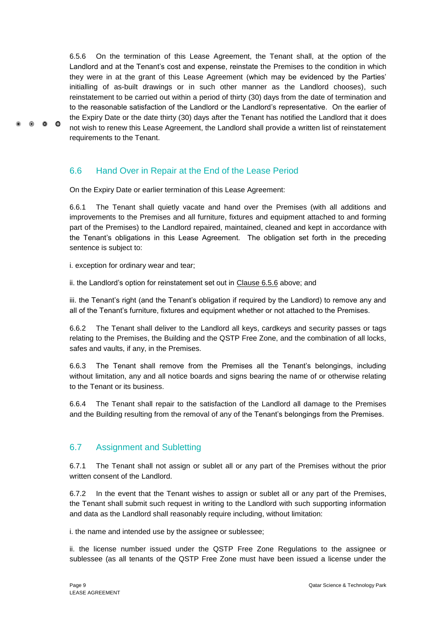6.5.6 On the termination of this Lease Agreement, the Tenant shall, at the option of the Landlord and at the Tenant's cost and expense, reinstate the Premises to the condition in which they were in at the grant of this Lease Agreement (which may be evidenced by the Parties' initialling of as-built drawings or in such other manner as the Landlord chooses), such reinstatement to be carried out within a period of thirty (30) days from the date of termination and to the reasonable satisfaction of the Landlord or the Landlord's representative. On the earlier of the Expiry Date or the date thirty (30) days after the Tenant has notified the Landlord that it does not wish to renew this Lease Agreement, the Landlord shall provide a written list of reinstatement requirements to the Tenant.

# <span id="page-15-0"></span>6.6 Hand Over in Repair at the End of the Lease Period

On the Expiry Date or earlier termination of this Lease Agreement:

6.6.1 The Tenant shall quietly vacate and hand over the Premises (with all additions and improvements to the Premises and all furniture, fixtures and equipment attached to and forming part of the Premises) to the Landlord repaired, maintained, cleaned and kept in accordance with the Tenant's obligations in this Lease Agreement. The obligation set forth in the preceding sentence is subject to:

i. exception for ordinary wear and tear;

 $\bullet$   $\bullet$ 

 $\bullet$ 

ii. the Landlord's option for reinstatement set out in Clause 6.5.6 above; and

iii. the Tenant's right (and the Tenant's obligation if required by the Landlord) to remove any and all of the Tenant's furniture, fixtures and equipment whether or not attached to the Premises.

6.6.2 The Tenant shall deliver to the Landlord all keys, cardkeys and security passes or tags relating to the Premises, the Building and the QSTP Free Zone, and the combination of all locks, safes and vaults, if any, in the Premises.

6.6.3 The Tenant shall remove from the Premises all the Tenant's belongings, including without limitation, any and all notice boards and signs bearing the name of or otherwise relating to the Tenant or its business.

6.6.4 The Tenant shall repair to the satisfaction of the Landlord all damage to the Premises and the Building resulting from the removal of any of the Tenant's belongings from the Premises.

# <span id="page-15-1"></span>6.7 Assignment and Subletting

6.7.1 The Tenant shall not assign or sublet all or any part of the Premises without the prior written consent of the Landlord.

6.7.2 In the event that the Tenant wishes to assign or sublet all or any part of the Premises, the Tenant shall submit such request in writing to the Landlord with such supporting information and data as the Landlord shall reasonably require including, without limitation:

i. the name and intended use by the assignee or sublessee;

ii. the license number issued under the QSTP Free Zone Regulations to the assignee or sublessee (as all tenants of the QSTP Free Zone must have been issued a license under the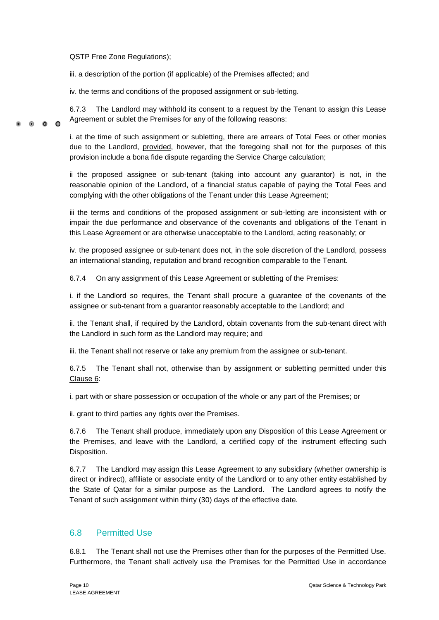QSTP Free Zone Regulations);

iii. a description of the portion (if applicable) of the Premises affected; and

iv. the terms and conditions of the proposed assignment or sub-letting.

6.7.3 The Landlord may withhold its consent to a request by the Tenant to assign this Lease Agreement or sublet the Premises for any of the following reasons:  $\bullet$   $\bullet$   $\bullet$ 

> i. at the time of such assignment or subletting, there are arrears of Total Fees or other monies due to the Landlord, provided, however, that the foregoing shall not for the purposes of this provision include a bona fide dispute regarding the Service Charge calculation;

> ii the proposed assignee or sub-tenant (taking into account any guarantor) is not, in the reasonable opinion of the Landlord, of a financial status capable of paying the Total Fees and complying with the other obligations of the Tenant under this Lease Agreement;

> iii the terms and conditions of the proposed assignment or sub-letting are inconsistent with or impair the due performance and observance of the covenants and obligations of the Tenant in this Lease Agreement or are otherwise unacceptable to the Landlord, acting reasonably; or

> iv. the proposed assignee or sub-tenant does not, in the sole discretion of the Landlord, possess an international standing, reputation and brand recognition comparable to the Tenant.

6.7.4 On any assignment of this Lease Agreement or subletting of the Premises:

i. if the Landlord so requires, the Tenant shall procure a guarantee of the covenants of the assignee or sub-tenant from a guarantor reasonably acceptable to the Landlord; and

ii. the Tenant shall, if required by the Landlord, obtain covenants from the sub-tenant direct with the Landlord in such form as the Landlord may require; and

iii. the Tenant shall not reserve or take any premium from the assignee or sub-tenant.

6.7.5 The Tenant shall not, otherwise than by assignment or subletting permitted under this Clause 6:

i. part with or share possession or occupation of the whole or any part of the Premises; or

ii. grant to third parties any rights over the Premises.

6.7.6 The Tenant shall produce, immediately upon any Disposition of this Lease Agreement or the Premises, and leave with the Landlord, a certified copy of the instrument effecting such Disposition.

6.7.7 The Landlord may assign this Lease Agreement to any subsidiary (whether ownership is direct or indirect), affiliate or associate entity of the Landlord or to any other entity established by the State of Qatar for a similar purpose as the Landlord. The Landlord agrees to notify the Tenant of such assignment within thirty (30) days of the effective date.

# <span id="page-16-0"></span>6.8 Permitted Use

6.8.1 The Tenant shall not use the Premises other than for the purposes of the Permitted Use. Furthermore, the Tenant shall actively use the Premises for the Permitted Use in accordance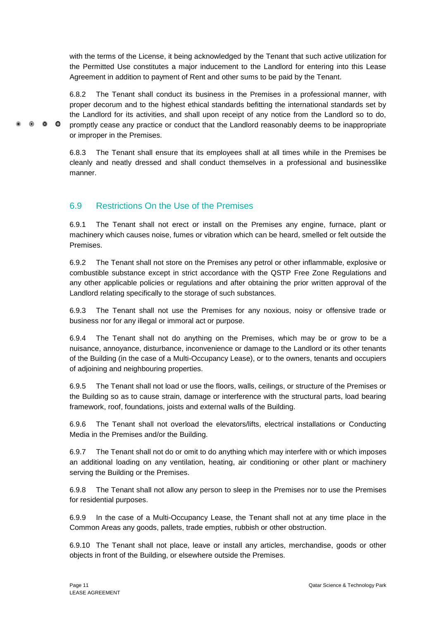with the terms of the License, it being acknowledged by the Tenant that such active utilization for the Permitted Use constitutes a major inducement to the Landlord for entering into this Lease Agreement in addition to payment of Rent and other sums to be paid by the Tenant.

6.8.2 The Tenant shall conduct its business in the Premises in a professional manner, with proper decorum and to the highest ethical standards befitting the international standards set by the Landlord for its activities, and shall upon receipt of any notice from the Landlord so to do, promptly cease any practice or conduct that the Landlord reasonably deems to be inappropriate or improper in the Premises.

6.8.3 The Tenant shall ensure that its employees shall at all times while in the Premises be cleanly and neatly dressed and shall conduct themselves in a professional and businesslike manner.

# <span id="page-17-0"></span>6.9 Restrictions On the Use of the Premises

 $\bullet$   $\bullet$   $\bullet$ 

6.9.1 The Tenant shall not erect or install on the Premises any engine, furnace, plant or machinery which causes noise, fumes or vibration which can be heard, smelled or felt outside the Premises.

6.9.2 The Tenant shall not store on the Premises any petrol or other inflammable, explosive or combustible substance except in strict accordance with the QSTP Free Zone Regulations and any other applicable policies or regulations and after obtaining the prior written approval of the Landlord relating specifically to the storage of such substances.

6.9.3 The Tenant shall not use the Premises for any noxious, noisy or offensive trade or business nor for any illegal or immoral act or purpose.

6.9.4 The Tenant shall not do anything on the Premises, which may be or grow to be a nuisance, annoyance, disturbance, inconvenience or damage to the Landlord or its other tenants of the Building (in the case of a Multi-Occupancy Lease), or to the owners, tenants and occupiers of adjoining and neighbouring properties.

6.9.5 The Tenant shall not load or use the floors, walls, ceilings, or structure of the Premises or the Building so as to cause strain, damage or interference with the structural parts, load bearing framework, roof, foundations, joists and external walls of the Building.

6.9.6 The Tenant shall not overload the elevators/lifts, electrical installations or Conducting Media in the Premises and/or the Building.

6.9.7 The Tenant shall not do or omit to do anything which may interfere with or which imposes an additional loading on any ventilation, heating, air conditioning or other plant or machinery serving the Building or the Premises.

6.9.8 The Tenant shall not allow any person to sleep in the Premises nor to use the Premises for residential purposes.

6.9.9 In the case of a Multi-Occupancy Lease, the Tenant shall not at any time place in the Common Areas any goods, pallets, trade empties, rubbish or other obstruction.

6.9.10 The Tenant shall not place, leave or install any articles, merchandise, goods or other objects in front of the Building, or elsewhere outside the Premises.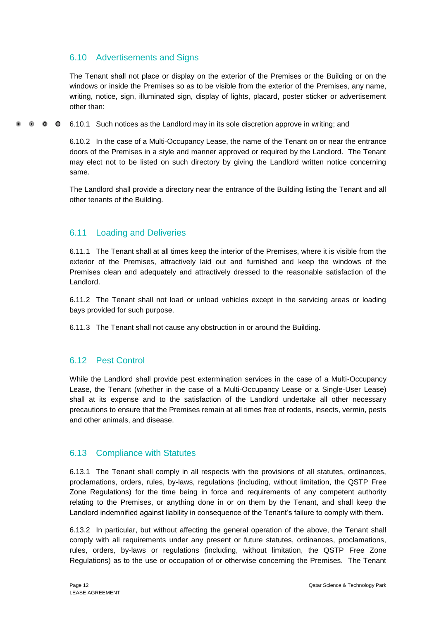# <span id="page-18-0"></span>6.10 Advertisements and Signs

The Tenant shall not place or display on the exterior of the Premises or the Building or on the windows or inside the Premises so as to be visible from the exterior of the Premises, any name, writing, notice, sign, illuminated sign, display of lights, placard, poster sticker or advertisement other than:

6.10.1 Such notices as the Landlord may in its sole discretion approve in writing; and  $\bullet$   $\bullet$  $\bullet$ 

> 6.10.2 In the case of a Multi-Occupancy Lease, the name of the Tenant on or near the entrance doors of the Premises in a style and manner approved or required by the Landlord. The Tenant may elect not to be listed on such directory by giving the Landlord written notice concerning same.

> The Landlord shall provide a directory near the entrance of the Building listing the Tenant and all other tenants of the Building.

# <span id="page-18-1"></span>6.11 Loading and Deliveries

6.11.1 The Tenant shall at all times keep the interior of the Premises, where it is visible from the exterior of the Premises, attractively laid out and furnished and keep the windows of the Premises clean and adequately and attractively dressed to the reasonable satisfaction of the Landlord.

6.11.2 The Tenant shall not load or unload vehicles except in the servicing areas or loading bays provided for such purpose.

6.11.3 The Tenant shall not cause any obstruction in or around the Building.

# <span id="page-18-2"></span>6.12 Pest Control

While the Landlord shall provide pest extermination services in the case of a Multi-Occupancy Lease, the Tenant (whether in the case of a Multi-Occupancy Lease or a Single-User Lease) shall at its expense and to the satisfaction of the Landlord undertake all other necessary precautions to ensure that the Premises remain at all times free of rodents, insects, vermin, pests and other animals, and disease.

# <span id="page-18-3"></span>6.13 Compliance with Statutes

6.13.1 The Tenant shall comply in all respects with the provisions of all statutes, ordinances, proclamations, orders, rules, by-laws, regulations (including, without limitation, the QSTP Free Zone Regulations) for the time being in force and requirements of any competent authority relating to the Premises, or anything done in or on them by the Tenant, and shall keep the Landlord indemnified against liability in consequence of the Tenant's failure to comply with them.

6.13.2 In particular, but without affecting the general operation of the above, the Tenant shall comply with all requirements under any present or future statutes, ordinances, proclamations, rules, orders, by-laws or regulations (including, without limitation, the QSTP Free Zone Regulations) as to the use or occupation of or otherwise concerning the Premises. The Tenant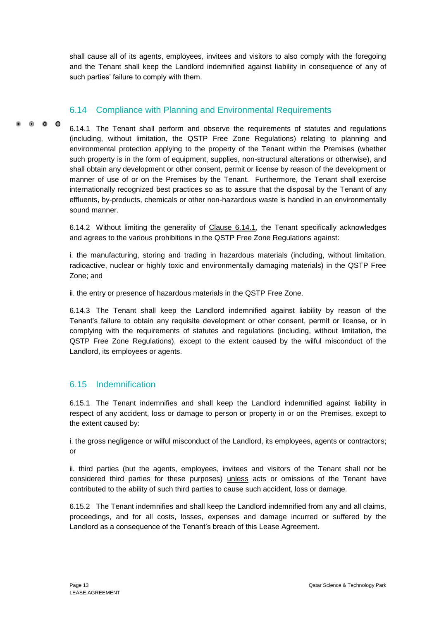shall cause all of its agents, employees, invitees and visitors to also comply with the foregoing and the Tenant shall keep the Landlord indemnified against liability in consequence of any of such parties' failure to comply with them.

# <span id="page-19-0"></span>6.14 Compliance with Planning and Environmental Requirements

 $\bullet$   $\bullet$   $\bullet$ 

6.14.1 The Tenant shall perform and observe the requirements of statutes and regulations (including, without limitation, the QSTP Free Zone Regulations) relating to planning and environmental protection applying to the property of the Tenant within the Premises (whether such property is in the form of equipment, supplies, non-structural alterations or otherwise), and shall obtain any development or other consent, permit or license by reason of the development or manner of use of or on the Premises by the Tenant. Furthermore, the Tenant shall exercise internationally recognized best practices so as to assure that the disposal by the Tenant of any effluents, by-products, chemicals or other non-hazardous waste is handled in an environmentally sound manner.

6.14.2 Without limiting the generality of Clause 6.14.1, the Tenant specifically acknowledges and agrees to the various prohibitions in the QSTP Free Zone Regulations against:

i. the manufacturing, storing and trading in hazardous materials (including, without limitation, radioactive, nuclear or highly toxic and environmentally damaging materials) in the QSTP Free Zone; and

ii. the entry or presence of hazardous materials in the QSTP Free Zone.

6.14.3 The Tenant shall keep the Landlord indemnified against liability by reason of the Tenant's failure to obtain any requisite development or other consent, permit or license, or in complying with the requirements of statutes and regulations (including, without limitation, the QSTP Free Zone Regulations), except to the extent caused by the wilful misconduct of the Landlord, its employees or agents.

# <span id="page-19-1"></span>6.15 Indemnification

6.15.1 The Tenant indemnifies and shall keep the Landlord indemnified against liability in respect of any accident, loss or damage to person or property in or on the Premises, except to the extent caused by:

i. the gross negligence or wilful misconduct of the Landlord, its employees, agents or contractors; or

ii. third parties (but the agents, employees, invitees and visitors of the Tenant shall not be considered third parties for these purposes) unless acts or omissions of the Tenant have contributed to the ability of such third parties to cause such accident, loss or damage.

6.15.2 The Tenant indemnifies and shall keep the Landlord indemnified from any and all claims, proceedings, and for all costs, losses, expenses and damage incurred or suffered by the Landlord as a consequence of the Tenant's breach of this Lease Agreement.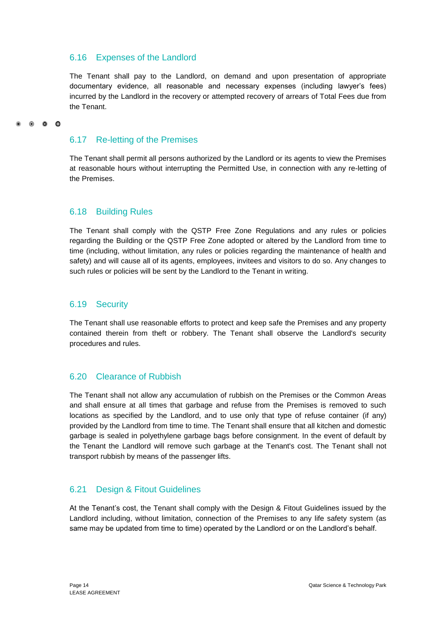# <span id="page-20-0"></span>6.16 Expenses of the Landlord

The Tenant shall pay to the Landlord, on demand and upon presentation of appropriate documentary evidence, all reasonable and necessary expenses (including lawyer's fees) incurred by the Landlord in the recovery or attempted recovery of arrears of Total Fees due from the Tenant.

# <span id="page-20-1"></span>6.17 Re-letting of the Premises

The Tenant shall permit all persons authorized by the Landlord or its agents to view the Premises at reasonable hours without interrupting the Permitted Use, in connection with any re-letting of the Premises.

# <span id="page-20-2"></span>6.18 Building Rules

The Tenant shall comply with the QSTP Free Zone Regulations and any rules or policies regarding the Building or the QSTP Free Zone adopted or altered by the Landlord from time to time (including, without limitation, any rules or policies regarding the maintenance of health and safety) and will cause all of its agents, employees, invitees and visitors to do so. Any changes to such rules or policies will be sent by the Landlord to the Tenant in writing.

# <span id="page-20-3"></span>6.19 Security

The Tenant shall use reasonable efforts to protect and keep safe the Premises and any property contained therein from theft or robbery. The Tenant shall observe the Landlord's security procedures and rules.

# <span id="page-20-4"></span>6.20 Clearance of Rubbish

The Tenant shall not allow any accumulation of rubbish on the Premises or the Common Areas and shall ensure at all times that garbage and refuse from the Premises is removed to such locations as specified by the Landlord, and to use only that type of refuse container (if any) provided by the Landlord from time to time. The Tenant shall ensure that all kitchen and domestic garbage is sealed in polyethylene garbage bags before consignment. In the event of default by the Tenant the Landlord will remove such garbage at the Tenant's cost. The Tenant shall not transport rubbish by means of the passenger lifts.

# <span id="page-20-5"></span>6.21 Design & Fitout Guidelines

At the Tenant's cost, the Tenant shall comply with the Design & Fitout Guidelines issued by the Landlord including, without limitation, connection of the Premises to any life safety system (as same may be updated from time to time) operated by the Landlord or on the Landlord's behalf.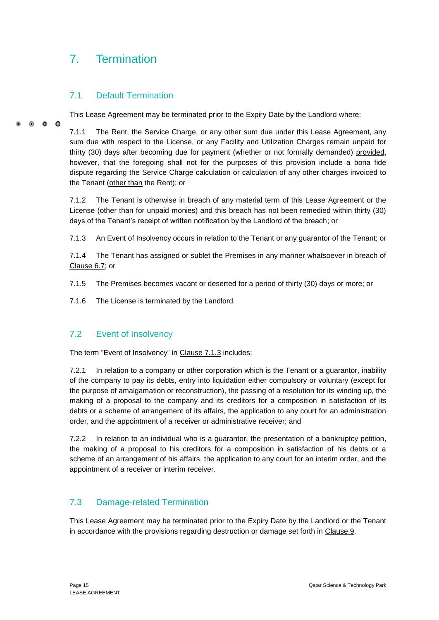# <span id="page-21-0"></span>7. Termination

# <span id="page-21-1"></span>7.1 Default Termination

This Lease Agreement may be terminated prior to the Expiry Date by the Landlord where:

 $\bullet$  $\bullet$ 

7.1.1 The Rent, the Service Charge, or any other sum due under this Lease Agreement, any sum due with respect to the License, or any Facility and Utilization Charges remain unpaid for thirty (30) days after becoming due for payment (whether or not formally demanded) provided, however, that the foregoing shall not for the purposes of this provision include a bona fide dispute regarding the Service Charge calculation or calculation of any other charges invoiced to the Tenant (other than the Rent); or

7.1.2 The Tenant is otherwise in breach of any material term of this Lease Agreement or the License (other than for unpaid monies) and this breach has not been remedied within thirty (30) days of the Tenant's receipt of written notification by the Landlord of the breach; or

7.1.3 An Event of Insolvency occurs in relation to the Tenant or any guarantor of the Tenant; or

7.1.4 The Tenant has assigned or sublet the Premises in any manner whatsoever in breach of Clause 6.7; or

- 7.1.5 The Premises becomes vacant or deserted for a period of thirty (30) days or more; or
- 7.1.6 The License is terminated by the Landlord.

# <span id="page-21-2"></span>7.2 Event of Insolvency

The term "Event of Insolvency" in Clause 7.1.3 includes:

7.2.1 In relation to a company or other corporation which is the Tenant or a guarantor, inability of the company to pay its debts, entry into liquidation either compulsory or voluntary (except for the purpose of amalgamation or reconstruction), the passing of a resolution for its winding up, the making of a proposal to the company and its creditors for a composition in satisfaction of its debts or a scheme of arrangement of its affairs, the application to any court for an administration order, and the appointment of a receiver or administrative receiver; and

7.2.2 In relation to an individual who is a guarantor, the presentation of a bankruptcy petition, the making of a proposal to his creditors for a composition in satisfaction of his debts or a scheme of an arrangement of his affairs, the application to any court for an interim order, and the appointment of a receiver or interim receiver.

# <span id="page-21-3"></span>7.3 Damage-related Termination

This Lease Agreement may be terminated prior to the Expiry Date by the Landlord or the Tenant in accordance with the provisions regarding destruction or damage set forth in Clause 9.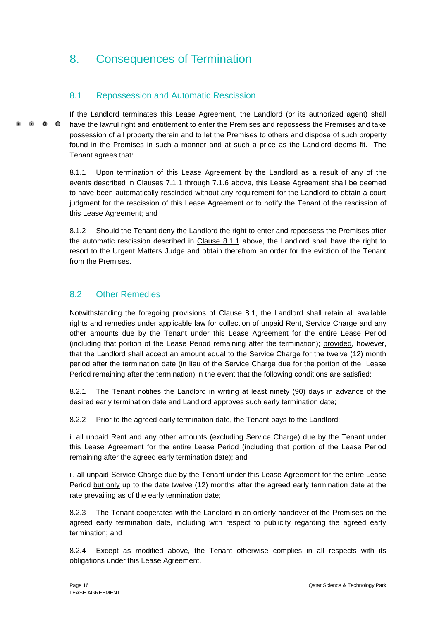# <span id="page-22-0"></span>8. Consequences of Termination

# <span id="page-22-1"></span>8.1 Repossession and Automatic Rescission

If the Landlord terminates this Lease Agreement, the Landlord (or its authorized agent) shall  $\bullet$   $\bullet$   $\bullet$ have the lawful right and entitlement to enter the Premises and repossess the Premises and take possession of all property therein and to let the Premises to others and dispose of such property found in the Premises in such a manner and at such a price as the Landlord deems fit. The Tenant agrees that:

> 8.1.1 Upon termination of this Lease Agreement by the Landlord as a result of any of the events described in Clauses 7.1.1 through 7.1.6 above, this Lease Agreement shall be deemed to have been automatically rescinded without any requirement for the Landlord to obtain a court judgment for the rescission of this Lease Agreement or to notify the Tenant of the rescission of this Lease Agreement; and

> 8.1.2 Should the Tenant deny the Landlord the right to enter and repossess the Premises after the automatic rescission described in Clause 8.1.1 above, the Landlord shall have the right to resort to the Urgent Matters Judge and obtain therefrom an order for the eviction of the Tenant from the Premises.

# <span id="page-22-2"></span>8.2 Other Remedies

Notwithstanding the foregoing provisions of Clause 8.1, the Landlord shall retain all available rights and remedies under applicable law for collection of unpaid Rent, Service Charge and any other amounts due by the Tenant under this Lease Agreement for the entire Lease Period (including that portion of the Lease Period remaining after the termination); provided, however, that the Landlord shall accept an amount equal to the Service Charge for the twelve (12) month period after the termination date (in lieu of the Service Charge due for the portion of the Lease Period remaining after the termination) in the event that the following conditions are satisfied:

8.2.1 The Tenant notifies the Landlord in writing at least ninety (90) days in advance of the desired early termination date and Landlord approves such early termination date;

8.2.2 Prior to the agreed early termination date, the Tenant pays to the Landlord:

i. all unpaid Rent and any other amounts (excluding Service Charge) due by the Tenant under this Lease Agreement for the entire Lease Period (including that portion of the Lease Period remaining after the agreed early termination date); and

ii. all unpaid Service Charge due by the Tenant under this Lease Agreement for the entire Lease Period but only up to the date twelve (12) months after the agreed early termination date at the rate prevailing as of the early termination date;

8.2.3 The Tenant cooperates with the Landlord in an orderly handover of the Premises on the agreed early termination date, including with respect to publicity regarding the agreed early termination; and

8.2.4 Except as modified above, the Tenant otherwise complies in all respects with its obligations under this Lease Agreement.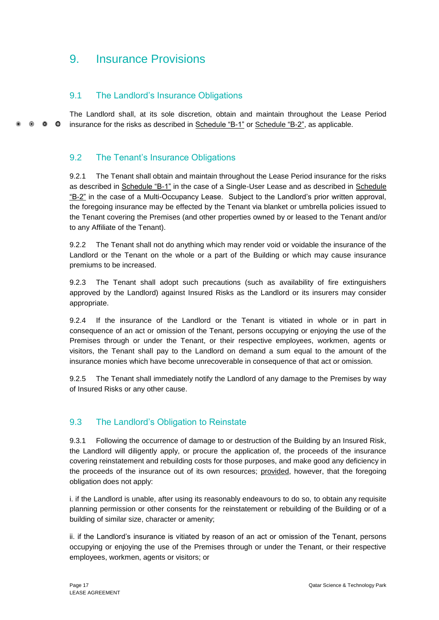# <span id="page-23-0"></span>9. Insurance Provisions

# <span id="page-23-1"></span>9.1 The Landlord's Insurance Obligations

The Landlord shall, at its sole discretion, obtain and maintain throughout the Lease Period  $\bullet$   $\bullet$   $\bullet$ insurance for the risks as described in Schedule "B-1" or Schedule "B-2", as applicable.

# <span id="page-23-2"></span>9.2 The Tenant's Insurance Obligations

9.2.1 The Tenant shall obtain and maintain throughout the Lease Period insurance for the risks as described in Schedule "B-1" in the case of a Single-User Lease and as described in Schedule "B-2" in the case of a Multi-Occupancy Lease. Subject to the Landlord's prior written approval, the foregoing insurance may be effected by the Tenant via blanket or umbrella policies issued to the Tenant covering the Premises (and other properties owned by or leased to the Tenant and/or to any Affiliate of the Tenant).

9.2.2 The Tenant shall not do anything which may render void or voidable the insurance of the Landlord or the Tenant on the whole or a part of the Building or which may cause insurance premiums to be increased.

9.2.3 The Tenant shall adopt such precautions (such as availability of fire extinguishers approved by the Landlord) against Insured Risks as the Landlord or its insurers may consider appropriate.

9.2.4 If the insurance of the Landlord or the Tenant is vitiated in whole or in part in consequence of an act or omission of the Tenant, persons occupying or enjoying the use of the Premises through or under the Tenant, or their respective employees, workmen, agents or visitors, the Tenant shall pay to the Landlord on demand a sum equal to the amount of the insurance monies which have become unrecoverable in consequence of that act or omission.

9.2.5 The Tenant shall immediately notify the Landlord of any damage to the Premises by way of Insured Risks or any other cause.

# <span id="page-23-3"></span>9.3 The Landlord's Obligation to Reinstate

9.3.1 Following the occurrence of damage to or destruction of the Building by an Insured Risk, the Landlord will diligently apply, or procure the application of, the proceeds of the insurance covering reinstatement and rebuilding costs for those purposes, and make good any deficiency in the proceeds of the insurance out of its own resources; provided, however, that the foregoing obligation does not apply:

i. if the Landlord is unable, after using its reasonably endeavours to do so, to obtain any requisite planning permission or other consents for the reinstatement or rebuilding of the Building or of a building of similar size, character or amenity;

ii. if the Landlord's insurance is vitiated by reason of an act or omission of the Tenant, persons occupying or enjoying the use of the Premises through or under the Tenant, or their respective employees, workmen, agents or visitors; or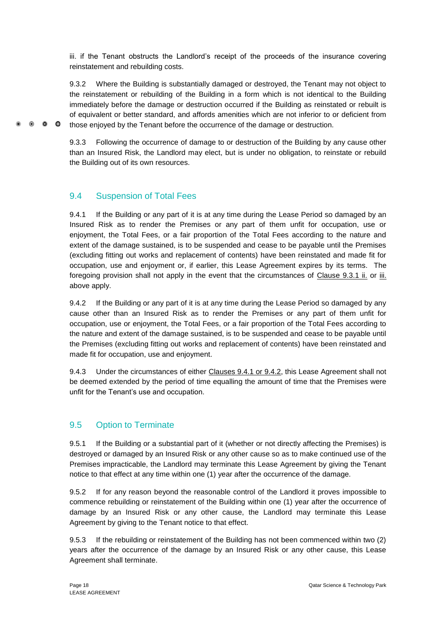iii. if the Tenant obstructs the Landlord's receipt of the proceeds of the insurance covering reinstatement and rebuilding costs.

9.3.2 Where the Building is substantially damaged or destroyed, the Tenant may not object to the reinstatement or rebuilding of the Building in a form which is not identical to the Building immediately before the damage or destruction occurred if the Building as reinstated or rebuilt is of equivalent or better standard, and affords amenities which are not inferior to or deficient from those enjoyed by the Tenant before the occurrence of the damage or destruction.

9.3.3 Following the occurrence of damage to or destruction of the Building by any cause other than an Insured Risk, the Landlord may elect, but is under no obligation, to reinstate or rebuild the Building out of its own resources.

# <span id="page-24-0"></span>9.4 Suspension of Total Fees

 $\bullet$   $\bullet$   $\bullet$ 

9.4.1 If the Building or any part of it is at any time during the Lease Period so damaged by an Insured Risk as to render the Premises or any part of them unfit for occupation, use or enjoyment, the Total Fees, or a fair proportion of the Total Fees according to the nature and extent of the damage sustained, is to be suspended and cease to be payable until the Premises (excluding fitting out works and replacement of contents) have been reinstated and made fit for occupation, use and enjoyment or, if earlier, this Lease Agreement expires by its terms. The foregoing provision shall not apply in the event that the circumstances of Clause 9.3.1 ii. or iii. above apply.

9.4.2 If the Building or any part of it is at any time during the Lease Period so damaged by any cause other than an Insured Risk as to render the Premises or any part of them unfit for occupation, use or enjoyment, the Total Fees, or a fair proportion of the Total Fees according to the nature and extent of the damage sustained, is to be suspended and cease to be payable until the Premises (excluding fitting out works and replacement of contents) have been reinstated and made fit for occupation, use and enjoyment.

9.4.3 Under the circumstances of either Clauses 9.4.1 or 9.4.2, this Lease Agreement shall not be deemed extended by the period of time equalling the amount of time that the Premises were unfit for the Tenant's use and occupation.

# <span id="page-24-1"></span>9.5 Option to Terminate

9.5.1 If the Building or a substantial part of it (whether or not directly affecting the Premises) is destroyed or damaged by an Insured Risk or any other cause so as to make continued use of the Premises impracticable, the Landlord may terminate this Lease Agreement by giving the Tenant notice to that effect at any time within one (1) year after the occurrence of the damage.

9.5.2 If for any reason beyond the reasonable control of the Landlord it proves impossible to commence rebuilding or reinstatement of the Building within one (1) year after the occurrence of damage by an Insured Risk or any other cause, the Landlord may terminate this Lease Agreement by giving to the Tenant notice to that effect.

9.5.3 If the rebuilding or reinstatement of the Building has not been commenced within two (2) years after the occurrence of the damage by an Insured Risk or any other cause, this Lease Agreement shall terminate.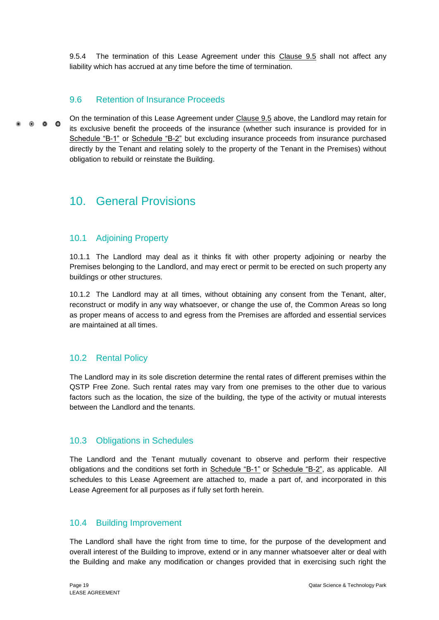9.5.4 The termination of this Lease Agreement under this Clause 9.5 shall not affect any liability which has accrued at any time before the time of termination.

# <span id="page-25-0"></span>9.6 Retention of Insurance Proceeds

On the termination of this Lease Agreement under Clause 9.5 above, the Landlord may retain for  $0<sub>0</sub>$ its exclusive benefit the proceeds of the insurance (whether such insurance is provided for in Schedule "B-1" or Schedule "B-2" but excluding insurance proceeds from insurance purchased directly by the Tenant and relating solely to the property of the Tenant in the Premises) without obligation to rebuild or reinstate the Building.

# <span id="page-25-1"></span>10. General Provisions

# <span id="page-25-2"></span>10.1 Adjoining Property

10.1.1 The Landlord may deal as it thinks fit with other property adjoining or nearby the Premises belonging to the Landlord, and may erect or permit to be erected on such property any buildings or other structures.

10.1.2 The Landlord may at all times, without obtaining any consent from the Tenant, alter, reconstruct or modify in any way whatsoever, or change the use of, the Common Areas so long as proper means of access to and egress from the Premises are afforded and essential services are maintained at all times.

# <span id="page-25-3"></span>10.2 Rental Policy

The Landlord may in its sole discretion determine the rental rates of different premises within the QSTP Free Zone. Such rental rates may vary from one premises to the other due to various factors such as the location, the size of the building, the type of the activity or mutual interests between the Landlord and the tenants.

# <span id="page-25-4"></span>10.3 Obligations in Schedules

The Landlord and the Tenant mutually covenant to observe and perform their respective obligations and the conditions set forth in Schedule "B-1" or Schedule "B-2", as applicable. All schedules to this Lease Agreement are attached to, made a part of, and incorporated in this Lease Agreement for all purposes as if fully set forth herein.

# <span id="page-25-5"></span>10.4 Building Improvement

The Landlord shall have the right from time to time, for the purpose of the development and overall interest of the Building to improve, extend or in any manner whatsoever alter or deal with the Building and make any modification or changes provided that in exercising such right the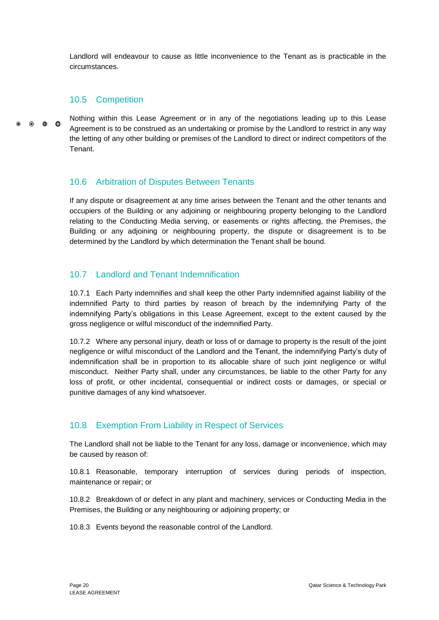Landlord will endeavour to cause as little inconvenience to the Tenant as is practicable in the circumstances.

# <span id="page-26-0"></span>10.5 Competition

 $\bullet$   $\bullet$ 

Nothing within this Lease Agreement or in any of the negotiations leading up to this Lease Agreement is to be construed as an undertaking or promise by the Landlord to restrict in any way the letting of any other building or premises of the Landlord to direct or indirect competitors of the Tenant.

# <span id="page-26-1"></span>10.6 Arbitration of Disputes Between Tenants

If any dispute or disagreement at any time arises between the Tenant and the other tenants and occupiers of the Building or any adjoining or neighbouring property belonging to the Landlord relating to the Conducting Media serving, or easements or rights affecting, the Premises, the Building or any adjoining or neighbouring property, the dispute or disagreement is to be determined by the Landlord by which determination the Tenant shall be bound.

# <span id="page-26-2"></span>10.7 Landlord and Tenant Indemnification

10.7.1 Each Party indemnifies and shall keep the other Party indemnified against liability of the indemnified Party to third parties by reason of breach by the indemnifying Party of the indemnifying Party's obligations in this Lease Agreement, except to the extent caused by the gross negligence or wilful misconduct of the indemnified Party.

10.7.2 Where any personal injury, death or loss of or damage to property is the result of the joint negligence or wilful misconduct of the Landlord and the Tenant, the indemnifying Party's duty of indemnification shall be in proportion to its allocable share of such joint negligence or wilful misconduct. Neither Party shall, under any circumstances, be liable to the other Party for any loss of profit, or other incidental, consequential or indirect costs or damages, or special or punitive damages of any kind whatsoever.

# <span id="page-26-3"></span>10.8 Exemption From Liability in Respect of Services

The Landlord shall not be liable to the Tenant for any loss, damage or inconvenience, which may be caused by reason of:

10.8.1 Reasonable, temporary interruption of services during periods of inspection, maintenance or repair; or

10.8.2 Breakdown of or defect in any plant and machinery, services or Conducting Media in the Premises, the Building or any neighbouring or adjoining property; or

10.8.3 Events beyond the reasonable control of the Landlord.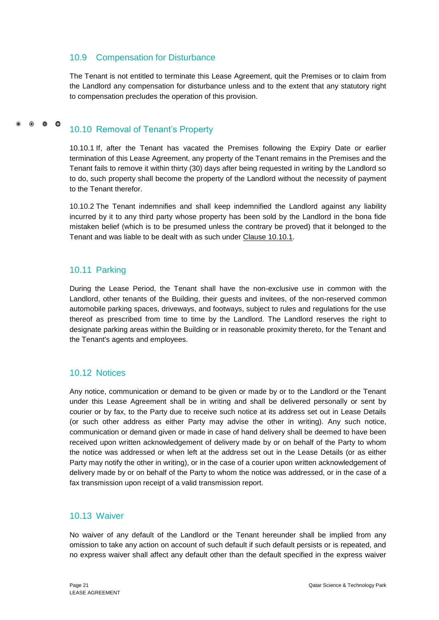# <span id="page-27-0"></span>10.9 Compensation for Disturbance

The Tenant is not entitled to terminate this Lease Agreement, quit the Premises or to claim from the Landlord any compensation for disturbance unless and to the extent that any statutory right to compensation precludes the operation of this provision.

#### $\bullet$   $\bullet$   $\bullet$ 10.10 Removal of Tenant's Property

<span id="page-27-1"></span>10.10.1 If, after the Tenant has vacated the Premises following the Expiry Date or earlier termination of this Lease Agreement, any property of the Tenant remains in the Premises and the Tenant fails to remove it within thirty (30) days after being requested in writing by the Landlord so to do, such property shall become the property of the Landlord without the necessity of payment to the Tenant therefor.

10.10.2 The Tenant indemnifies and shall keep indemnified the Landlord against any liability incurred by it to any third party whose property has been sold by the Landlord in the bona fide mistaken belief (which is to be presumed unless the contrary be proved) that it belonged to the Tenant and was liable to be dealt with as such under Clause 10.10.1.

# <span id="page-27-2"></span>10.11 Parking

During the Lease Period, the Tenant shall have the non-exclusive use in common with the Landlord, other tenants of the Building, their guests and invitees, of the non-reserved common automobile parking spaces, driveways, and footways, subject to rules and regulations for the use thereof as prescribed from time to time by the Landlord. The Landlord reserves the right to designate parking areas within the Building or in reasonable proximity thereto, for the Tenant and the Tenant's agents and employees.

# <span id="page-27-3"></span>10.12 Notices

Any notice, communication or demand to be given or made by or to the Landlord or the Tenant under this Lease Agreement shall be in writing and shall be delivered personally or sent by courier or by fax, to the Party due to receive such notice at its address set out in Lease Details (or such other address as either Party may advise the other in writing). Any such notice, communication or demand given or made in case of hand delivery shall be deemed to have been received upon written acknowledgement of delivery made by or on behalf of the Party to whom the notice was addressed or when left at the address set out in the Lease Details (or as either Party may notify the other in writing), or in the case of a courier upon written acknowledgement of delivery made by or on behalf of the Party to whom the notice was addressed, or in the case of a fax transmission upon receipt of a valid transmission report.

# <span id="page-27-4"></span>10.13 Waiver

No waiver of any default of the Landlord or the Tenant hereunder shall be implied from any omission to take any action on account of such default if such default persists or is repeated, and no express waiver shall affect any default other than the default specified in the express waiver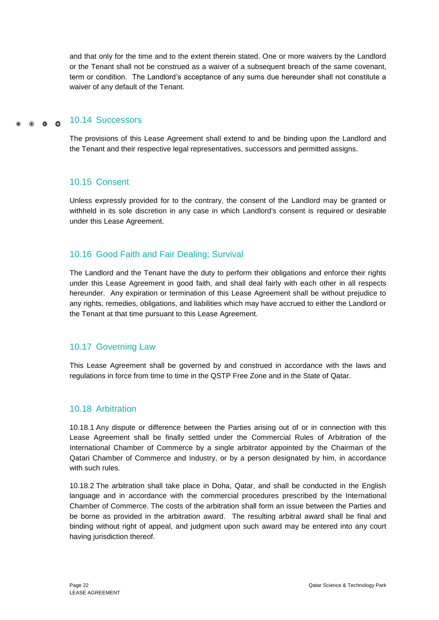and that only for the time and to the extent therein stated. One or more waivers by the Landlord or the Tenant shall not be construed as a waiver of a subsequent breach of the same covenant, term or condition. The Landlord's acceptance of any sums due hereunder shall not constitute a waiver of any default of the Tenant.

#### 10.14 Successors  $\circ$   $\circ$   $\circ$

<span id="page-28-0"></span>The provisions of this Lease Agreement shall extend to and be binding upon the Landlord and the Tenant and their respective legal representatives, successors and permitted assigns.

# <span id="page-28-1"></span>10.15 Consent

Unless expressly provided for to the contrary, the consent of the Landlord may be granted or withheld in its sole discretion in any case in which Landlord's consent is required or desirable under this Lease Agreement.

# <span id="page-28-2"></span>10.16 Good Faith and Fair Dealing; Survival

The Landlord and the Tenant have the duty to perform their obligations and enforce their rights under this Lease Agreement in good faith, and shall deal fairly with each other in all respects hereunder. Any expiration or termination of this Lease Agreement shall be without prejudice to any rights, remedies, obligations, and liabilities which may have accrued to either the Landlord or the Tenant at that time pursuant to this Lease Agreement.

# <span id="page-28-3"></span>10.17 Governing Law

This Lease Agreement shall be governed by and construed in accordance with the laws and regulations in force from time to time in the QSTP Free Zone and in the State of Qatar.

# <span id="page-28-4"></span>10.18 Arbitration

10.18.1 Any dispute or difference between the Parties arising out of or in connection with this Lease Agreement shall be finally settled under the Commercial Rules of Arbitration of the International Chamber of Commerce by a single arbitrator appointed by the Chairman of the Qatari Chamber of Commerce and Industry, or by a person designated by him, in accordance with such rules.

10.18.2 The arbitration shall take place in Doha, Qatar, and shall be conducted in the English language and in accordance with the commercial procedures prescribed by the International Chamber of Commerce. The costs of the arbitration shall form an issue between the Parties and be borne as provided in the arbitration award. The resulting arbitral award shall be final and binding without right of appeal, and judgment upon such award may be entered into any court having jurisdiction thereof.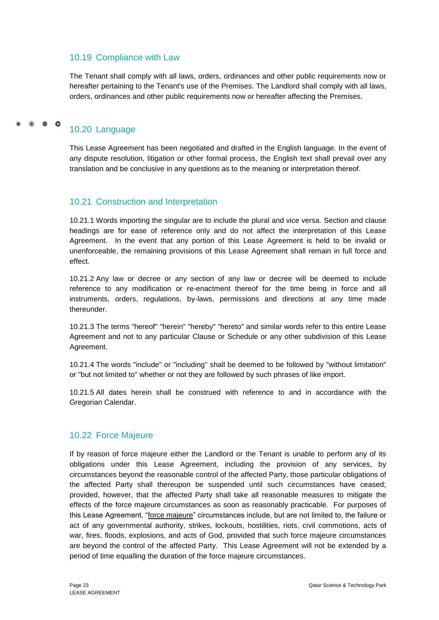# <span id="page-29-0"></span>10.19 Compliance with Law

The Tenant shall comply with all laws, orders, ordinances and other public requirements now or hereafter pertaining to the Tenant's use of the Premises. The Landlord shall comply with all laws, orders, ordinances and other public requirements now or hereafter affecting the Premises.

# <span id="page-29-1"></span>10.20 Language

This Lease Agreement has been negotiated and drafted in the English language. In the event of any dispute resolution, litigation or other formal process, the English text shall prevail over any translation and be conclusive in any questions as to the meaning or interpretation thereof.

# <span id="page-29-2"></span>10.21 Construction and Interpretation

10.21.1 Words importing the singular are to include the plural and vice versa. Section and clause headings are for ease of reference only and do not affect the interpretation of this Lease Agreement. In the event that any portion of this Lease Agreement is held to be invalid or unenforceable, the remaining provisions of this Lease Agreement shall remain in full force and effect.

10.21.2 Any law or decree or any section of any law or decree will be deemed to include reference to any modification or re-enactment thereof for the time being in force and all instruments, orders, regulations, by-laws, permissions and directions at any time made thereunder.

10.21.3 The terms "hereof" "herein" "hereby" "hereto" and similar words refer to this entire Lease Agreement and not to any particular Clause or Schedule or any other subdivision of this Lease Agreement.

10.21.4 The words "include" or "including" shall be deemed to be followed by "without limitation" or "but not limited to" whether or not they are followed by such phrases of like import.

10.21.5 All dates herein shall be construed with reference to and in accordance with the Gregorian Calendar.

# <span id="page-29-3"></span>10.22 Force Majeure

If by reason of force majeure either the Landlord or the Tenant is unable to perform any of its obligations under this Lease Agreement, including the provision of any services, by circumstances beyond the reasonable control of the affected Party, those particular obligations of the affected Party shall thereupon be suspended until such circumstances have ceased; provided, however, that the affected Party shall take all reasonable measures to mitigate the effects of the force majeure circumstances as soon as reasonably practicable. For purposes of this Lease Agreement, "force majeure" circumstances include, but are not limited to, the failure or act of any governmental authority, strikes, lockouts, hostilities, riots, civil commotions, acts of war, fires, floods, explosions, and acts of God, provided that such force majeure circumstances are beyond the control of the affected Party. This Lease Agreement will not be extended by a period of time equalling the duration of the force majeure circumstances.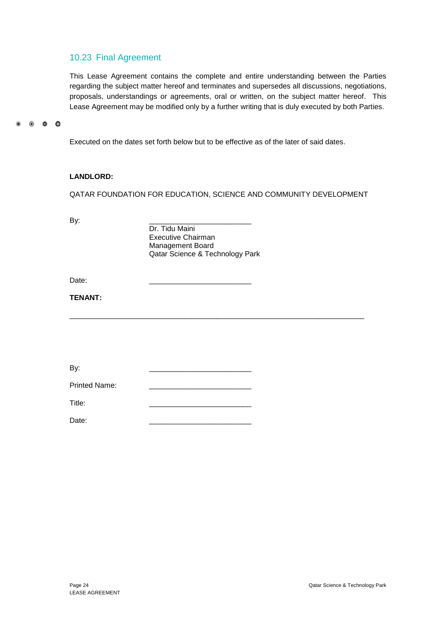# <span id="page-30-0"></span>10.23 Final Agreement

This Lease Agreement contains the complete and entire understanding between the Parties regarding the subject matter hereof and terminates and supersedes all discussions, negotiations, proposals, understandings or agreements, oral or written, on the subject matter hereof. This Lease Agreement may be modified only by a further writing that is duly executed by both Parties.

 $\circ$   $\circ$   $\circ$ 

Executed on the dates set forth below but to be effective as of the later of said dates.

### **LANDLORD:**

QATAR FOUNDATION FOR EDUCATION, SCIENCE AND COMMUNITY DEVELOPMENT

By: \_\_\_\_\_\_\_\_\_\_\_\_\_\_\_\_\_\_\_\_\_\_\_\_\_ Dr. Tidu Maini Executive Chairman Management Board Qatar Science & Technology Park

 $\_$  ,  $\_$  ,  $\_$  ,  $\_$  ,  $\_$  ,  $\_$  ,  $\_$  ,  $\_$  ,  $\_$  ,  $\_$  ,  $\_$  ,  $\_$  ,  $\_$  ,  $\_$  ,  $\_$  ,  $\_$  ,  $\_$  ,  $\_$  ,  $\_$  ,  $\_$  ,  $\_$  ,  $\_$  ,  $\_$  ,  $\_$  ,  $\_$  ,  $\_$  ,  $\_$  ,  $\_$  ,  $\_$  ,  $\_$  ,  $\_$  ,  $\_$  ,  $\_$  ,  $\_$  ,  $\_$  ,  $\_$  ,  $\_$  ,

Date: \_\_\_\_\_\_\_\_\_\_\_\_\_\_\_\_\_\_\_\_\_\_\_\_\_

### **TENANT:**

| By:                  |  |  |  |
|----------------------|--|--|--|
| <b>Printed Name:</b> |  |  |  |
| Title:               |  |  |  |
| Date:                |  |  |  |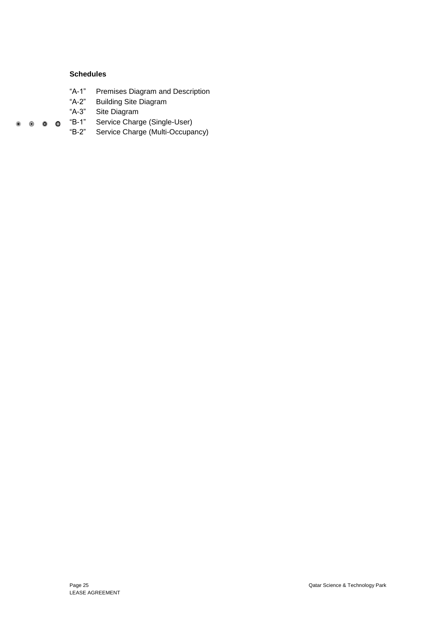### **Schedules**

- "A-1" Premises Diagram and Description
- "A-2" Building Site Diagram
- "A-3" Site Diagram
- "B-1" Service Charge (Single-User)  $\begin{array}{ccccccccccccccccc} \bullet & \circ & \circ & \circ & \circ & \circ \end{array}$ 
	- "B-2" Service Charge (Multi-Occupancy)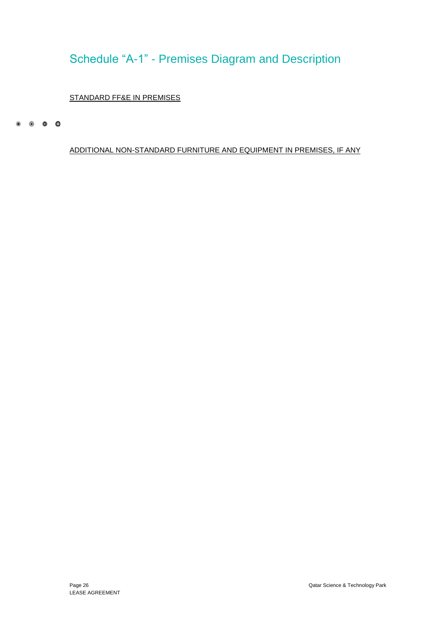# <span id="page-32-0"></span>Schedule "A-1" - Premises Diagram and Description

# STANDARD FF&E IN PREMISES

 $\begin{array}{ccccccccccccccccc} \circ & \circ & \circ & \circ & \circ & \circ \end{array}$ 

ADDITIONAL NON-STANDARD FURNITURE AND EQUIPMENT IN PREMISES, IF ANY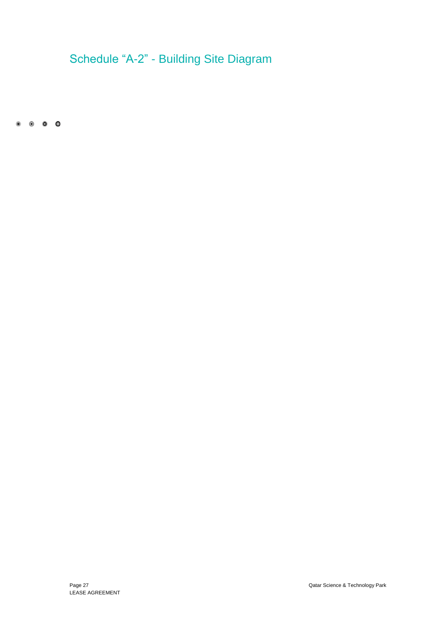# <span id="page-33-0"></span>Schedule "A-2" - Building Site Diagram

 $\begin{array}{ccccccccccccccccc} \bullet & \circ & \circ & \circ & \circ & \circ \end{array}$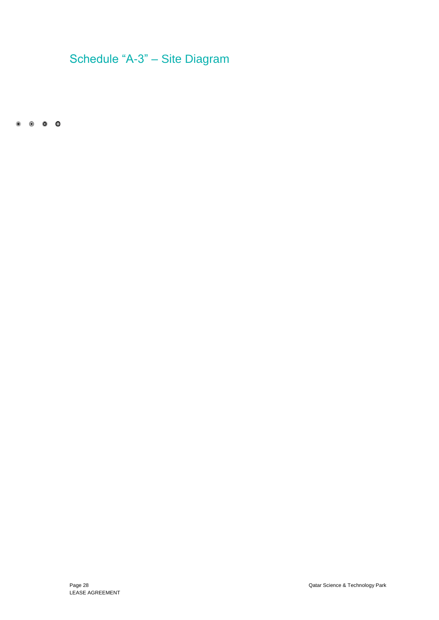# <span id="page-34-0"></span>Schedule "A-3" – Site Diagram

 $\begin{matrix} 0 & 0 & 0 & 0 \end{matrix}$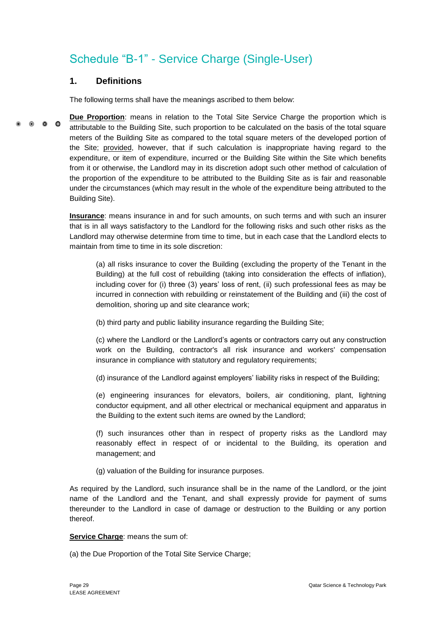# <span id="page-35-0"></span>Schedule "B-1" - Service Charge (Single-User)

# **1. Definitions**

The following terms shall have the meanings ascribed to them below:

**Due Proportion**: means in relation to the Total Site Service Charge the proportion which is  $\bullet$   $\bullet$   $\bullet$ attributable to the Building Site, such proportion to be calculated on the basis of the total square meters of the Building Site as compared to the total square meters of the developed portion of the Site; provided, however, that if such calculation is inappropriate having regard to the expenditure, or item of expenditure, incurred or the Building Site within the Site which benefits from it or otherwise, the Landlord may in its discretion adopt such other method of calculation of the proportion of the expenditure to be attributed to the Building Site as is fair and reasonable under the circumstances (which may result in the whole of the expenditure being attributed to the Building Site).

> **Insurance**: means insurance in and for such amounts, on such terms and with such an insurer that is in all ways satisfactory to the Landlord for the following risks and such other risks as the Landlord may otherwise determine from time to time, but in each case that the Landlord elects to maintain from time to time in its sole discretion:

(a) all risks insurance to cover the Building (excluding the property of the Tenant in the Building) at the full cost of rebuilding (taking into consideration the effects of inflation), including cover for (i) three (3) years' loss of rent, (ii) such professional fees as may be incurred in connection with rebuilding or reinstatement of the Building and (iii) the cost of demolition, shoring up and site clearance work;

(b) third party and public liability insurance regarding the Building Site;

(c) where the Landlord or the Landlord's agents or contractors carry out any construction work on the Building, contractor's all risk insurance and workers' compensation insurance in compliance with statutory and regulatory requirements;

(d) insurance of the Landlord against employers' liability risks in respect of the Building;

(e) engineering insurances for elevators, boilers, air conditioning, plant, lightning conductor equipment, and all other electrical or mechanical equipment and apparatus in the Building to the extent such items are owned by the Landlord;

(f) such insurances other than in respect of property risks as the Landlord may reasonably effect in respect of or incidental to the Building, its operation and management; and

(g) valuation of the Building for insurance purposes.

As required by the Landlord, such insurance shall be in the name of the Landlord, or the joint name of the Landlord and the Tenant, and shall expressly provide for payment of sums thereunder to the Landlord in case of damage or destruction to the Building or any portion thereof.

**Service Charge**: means the sum of:

(a) the Due Proportion of the Total Site Service Charge;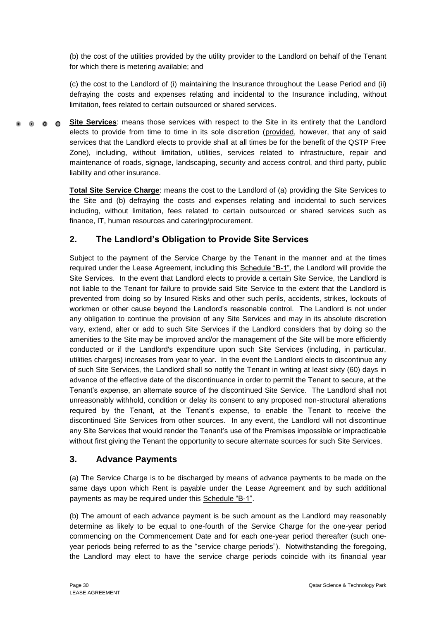(b) the cost of the utilities provided by the utility provider to the Landlord on behalf of the Tenant for which there is metering available; and

(c) the cost to the Landlord of (i) maintaining the Insurance throughout the Lease Period and (ii) defraying the costs and expenses relating and incidental to the Insurance including, without limitation, fees related to certain outsourced or shared services.

**Site Services**: means those services with respect to the Site in its entirety that the Landlord  $\bullet$   $\bullet$   $\bullet$ elects to provide from time to time in its sole discretion (provided, however, that any of said services that the Landlord elects to provide shall at all times be for the benefit of the QSTP Free Zone), including, without limitation, utilities, services related to infrastructure, repair and maintenance of roads, signage, landscaping, security and access control, and third party, public liability and other insurance.

> **Total Site Service Charge**: means the cost to the Landlord of (a) providing the Site Services to the Site and (b) defraying the costs and expenses relating and incidental to such services including, without limitation, fees related to certain outsourced or shared services such as finance, IT, human resources and catering/procurement.

# **2. The Landlord's Obligation to Provide Site Services**

Subject to the payment of the Service Charge by the Tenant in the manner and at the times required under the Lease Agreement, including this Schedule "B-1", the Landlord will provide the Site Services. In the event that Landlord elects to provide a certain Site Service, the Landlord is not liable to the Tenant for failure to provide said Site Service to the extent that the Landlord is prevented from doing so by Insured Risks and other such perils, accidents, strikes, lockouts of workmen or other cause beyond the Landlord's reasonable control. The Landlord is not under any obligation to continue the provision of any Site Services and may in its absolute discretion vary, extend, alter or add to such Site Services if the Landlord considers that by doing so the amenities to the Site may be improved and/or the management of the Site will be more efficiently conducted or if the Landlord's expenditure upon such Site Services (including, in particular, utilities charges) increases from year to year. In the event the Landlord elects to discontinue any of such Site Services, the Landlord shall so notify the Tenant in writing at least sixty (60) days in advance of the effective date of the discontinuance in order to permit the Tenant to secure, at the Tenant's expense, an alternate source of the discontinued Site Service. The Landlord shall not unreasonably withhold, condition or delay its consent to any proposed non-structural alterations required by the Tenant, at the Tenant's expense, to enable the Tenant to receive the discontinued Site Services from other sources. In any event, the Landlord will not discontinue any Site Services that would render the Tenant's use of the Premises impossible or impracticable without first giving the Tenant the opportunity to secure alternate sources for such Site Services.

# **3. Advance Payments**

(a) The Service Charge is to be discharged by means of advance payments to be made on the same days upon which Rent is payable under the Lease Agreement and by such additional payments as may be required under this Schedule "B-1".

(b) The amount of each advance payment is be such amount as the Landlord may reasonably determine as likely to be equal to one-fourth of the Service Charge for the one-year period commencing on the Commencement Date and for each one-year period thereafter (such oneyear periods being referred to as the "service charge periods"). Notwithstanding the foregoing, the Landlord may elect to have the service charge periods coincide with its financial year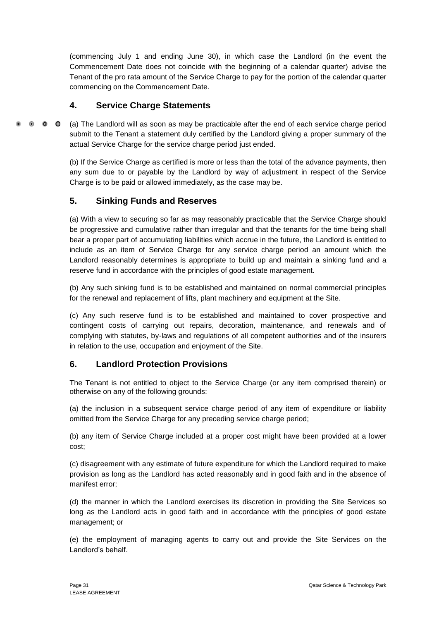(commencing July 1 and ending June 30), in which case the Landlord (in the event the Commencement Date does not coincide with the beginning of a calendar quarter) advise the Tenant of the pro rata amount of the Service Charge to pay for the portion of the calendar quarter commencing on the Commencement Date.

# **4. Service Charge Statements**

 $\bullet$   $\bullet$   $\bullet$ (a) The Landlord will as soon as may be practicable after the end of each service charge period submit to the Tenant a statement duly certified by the Landlord giving a proper summary of the actual Service Charge for the service charge period just ended.

> (b) If the Service Charge as certified is more or less than the total of the advance payments, then any sum due to or payable by the Landlord by way of adjustment in respect of the Service Charge is to be paid or allowed immediately, as the case may be.

# **5. Sinking Funds and Reserves**

(a) With a view to securing so far as may reasonably practicable that the Service Charge should be progressive and cumulative rather than irregular and that the tenants for the time being shall bear a proper part of accumulating liabilities which accrue in the future, the Landlord is entitled to include as an item of Service Charge for any service charge period an amount which the Landlord reasonably determines is appropriate to build up and maintain a sinking fund and a reserve fund in accordance with the principles of good estate management.

(b) Any such sinking fund is to be established and maintained on normal commercial principles for the renewal and replacement of lifts, plant machinery and equipment at the Site.

(c) Any such reserve fund is to be established and maintained to cover prospective and contingent costs of carrying out repairs, decoration, maintenance, and renewals and of complying with statutes, by-laws and regulations of all competent authorities and of the insurers in relation to the use, occupation and enjoyment of the Site.

# **6. Landlord Protection Provisions**

The Tenant is not entitled to object to the Service Charge (or any item comprised therein) or otherwise on any of the following grounds:

(a) the inclusion in a subsequent service charge period of any item of expenditure or liability omitted from the Service Charge for any preceding service charge period;

(b) any item of Service Charge included at a proper cost might have been provided at a lower cost;

(c) disagreement with any estimate of future expenditure for which the Landlord required to make provision as long as the Landlord has acted reasonably and in good faith and in the absence of manifest error;

(d) the manner in which the Landlord exercises its discretion in providing the Site Services so long as the Landlord acts in good faith and in accordance with the principles of good estate management; or

(e) the employment of managing agents to carry out and provide the Site Services on the Landlord's behalf.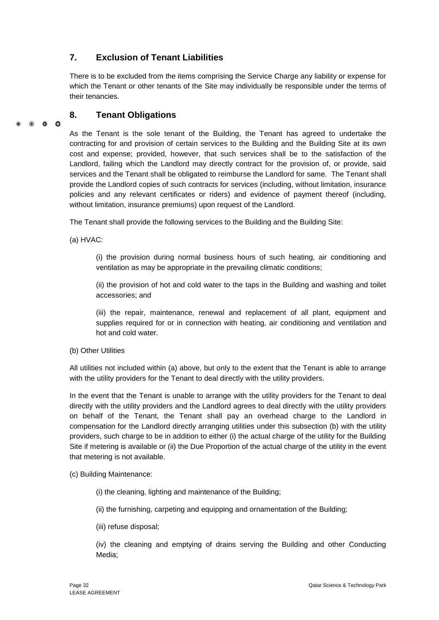# **7. Exclusion of Tenant Liabilities**

There is to be excluded from the items comprising the Service Charge any liability or expense for which the Tenant or other tenants of the Site may individually be responsible under the terms of their tenancies.

# **8. Tenant Obligations**

#### 0 0 0

As the Tenant is the sole tenant of the Building, the Tenant has agreed to undertake the contracting for and provision of certain services to the Building and the Building Site at its own cost and expense; provided, however, that such services shall be to the satisfaction of the Landlord, failing which the Landlord may directly contract for the provision of, or provide, said services and the Tenant shall be obligated to reimburse the Landlord for same. The Tenant shall provide the Landlord copies of such contracts for services (including, without limitation, insurance policies and any relevant certificates or riders) and evidence of payment thereof (including, without limitation, insurance premiums) upon request of the Landlord.

The Tenant shall provide the following services to the Building and the Building Site:

(a) HVAC:

(i) the provision during normal business hours of such heating, air conditioning and ventilation as may be appropriate in the prevailing climatic conditions;

(ii) the provision of hot and cold water to the taps in the Building and washing and toilet accessories; and

(iii) the repair, maintenance, renewal and replacement of all plant, equipment and supplies required for or in connection with heating, air conditioning and ventilation and hot and cold water.

#### (b) Other Utilities

All utilities not included within (a) above, but only to the extent that the Tenant is able to arrange with the utility providers for the Tenant to deal directly with the utility providers.

In the event that the Tenant is unable to arrange with the utility providers for the Tenant to deal directly with the utility providers and the Landlord agrees to deal directly with the utility providers on behalf of the Tenant, the Tenant shall pay an overhead charge to the Landlord in compensation for the Landlord directly arranging utilities under this subsection (b) with the utility providers, such charge to be in addition to either (i) the actual charge of the utility for the Building Site if metering is available or (ii) the Due Proportion of the actual charge of the utility in the event that metering is not available.

(c) Building Maintenance:

(i) the cleaning, lighting and maintenance of the Building;

(ii) the furnishing, carpeting and equipping and ornamentation of the Building;

(iii) refuse disposal;

(iv) the cleaning and emptying of drains serving the Building and other Conducting Media;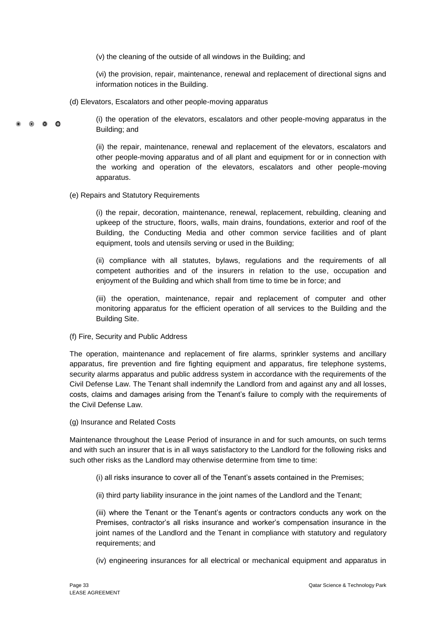(v) the cleaning of the outside of all windows in the Building; and

(vi) the provision, repair, maintenance, renewal and replacement of directional signs and information notices in the Building.

(d) Elevators, Escalators and other people-moving apparatus

(i) the operation of the elevators, escalators and other people-moving apparatus in the Building; and

(ii) the repair, maintenance, renewal and replacement of the elevators, escalators and other people-moving apparatus and of all plant and equipment for or in connection with the working and operation of the elevators, escalators and other people-moving apparatus.

### (e) Repairs and Statutory Requirements

 $\circ$   $\circ$   $\circ$ 

(i) the repair, decoration, maintenance, renewal, replacement, rebuilding, cleaning and upkeep of the structure, floors, walls, main drains, foundations, exterior and roof of the Building, the Conducting Media and other common service facilities and of plant equipment, tools and utensils serving or used in the Building;

(ii) compliance with all statutes, bylaws, regulations and the requirements of all competent authorities and of the insurers in relation to the use, occupation and enjoyment of the Building and which shall from time to time be in force; and

(iii) the operation, maintenance, repair and replacement of computer and other monitoring apparatus for the efficient operation of all services to the Building and the Building Site.

(f) Fire, Security and Public Address

The operation, maintenance and replacement of fire alarms, sprinkler systems and ancillary apparatus, fire prevention and fire fighting equipment and apparatus, fire telephone systems, security alarms apparatus and public address system in accordance with the requirements of the Civil Defense Law. The Tenant shall indemnify the Landlord from and against any and all losses, costs, claims and damages arising from the Tenant's failure to comply with the requirements of the Civil Defense Law.

(g) Insurance and Related Costs

Maintenance throughout the Lease Period of insurance in and for such amounts, on such terms and with such an insurer that is in all ways satisfactory to the Landlord for the following risks and such other risks as the Landlord may otherwise determine from time to time:

- (i) all risks insurance to cover all of the Tenant's assets contained in the Premises;
- (ii) third party liability insurance in the joint names of the Landlord and the Tenant;

(iii) where the Tenant or the Tenant's agents or contractors conducts any work on the Premises, contractor's all risks insurance and worker's compensation insurance in the joint names of the Landlord and the Tenant in compliance with statutory and regulatory requirements; and

(iv) engineering insurances for all electrical or mechanical equipment and apparatus in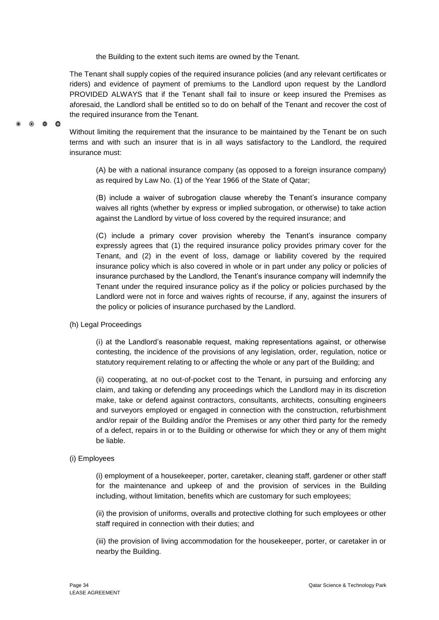the Building to the extent such items are owned by the Tenant.

The Tenant shall supply copies of the required insurance policies (and any relevant certificates or riders) and evidence of payment of premiums to the Landlord upon request by the Landlord PROVIDED ALWAYS that if the Tenant shall fail to insure or keep insured the Premises as aforesaid, the Landlord shall be entitled so to do on behalf of the Tenant and recover the cost of the required insurance from the Tenant.

Without limiting the requirement that the insurance to be maintained by the Tenant be on such terms and with such an insurer that is in all ways satisfactory to the Landlord, the required insurance must:

(A) be with a national insurance company (as opposed to a foreign insurance company) as required by Law No. (1) of the Year 1966 of the State of Qatar;

(B) include a waiver of subrogation clause whereby the Tenant's insurance company waives all rights (whether by express or implied subrogation, or otherwise) to take action against the Landlord by virtue of loss covered by the required insurance; and

(C) include a primary cover provision whereby the Tenant's insurance company expressly agrees that (1) the required insurance policy provides primary cover for the Tenant, and (2) in the event of loss, damage or liability covered by the required insurance policy which is also covered in whole or in part under any policy or policies of insurance purchased by the Landlord, the Tenant's insurance company will indemnify the Tenant under the required insurance policy as if the policy or policies purchased by the Landlord were not in force and waives rights of recourse, if any, against the insurers of the policy or policies of insurance purchased by the Landlord.

(h) Legal Proceedings

00<sup>0</sup>

(i) at the Landlord's reasonable request, making representations against, or otherwise contesting, the incidence of the provisions of any legislation, order, regulation, notice or statutory requirement relating to or affecting the whole or any part of the Building; and

(ii) cooperating, at no out-of-pocket cost to the Tenant, in pursuing and enforcing any claim, and taking or defending any proceedings which the Landlord may in its discretion make, take or defend against contractors, consultants, architects, consulting engineers and surveyors employed or engaged in connection with the construction, refurbishment and/or repair of the Building and/or the Premises or any other third party for the remedy of a defect, repairs in or to the Building or otherwise for which they or any of them might be liable.

### (i) Employees

(i) employment of a housekeeper, porter, caretaker, cleaning staff, gardener or other staff for the maintenance and upkeep of and the provision of services in the Building including, without limitation, benefits which are customary for such employees;

(ii) the provision of uniforms, overalls and protective clothing for such employees or other staff required in connection with their duties; and

(iii) the provision of living accommodation for the housekeeper, porter, or caretaker in or nearby the Building.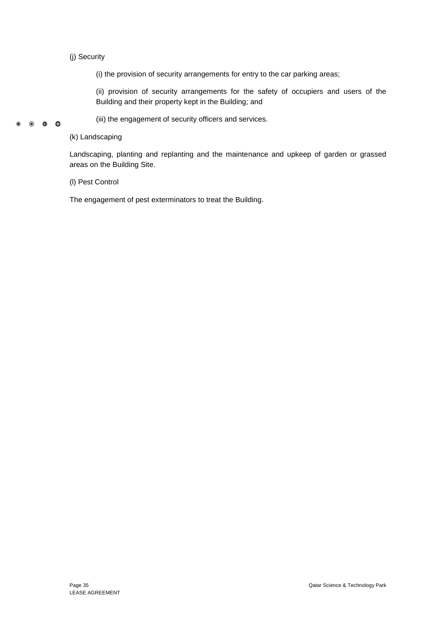### (j) Security

(i) the provision of security arrangements for entry to the car parking areas;

(ii) provision of security arrangements for the safety of occupiers and users of the Building and their property kept in the Building; and

#### (iii) the engagement of security officers and services. . . . .

### (k) Landscaping

Landscaping, planting and replanting and the maintenance and upkeep of garden or grassed areas on the Building Site.

(l) Pest Control

The engagement of pest exterminators to treat the Building.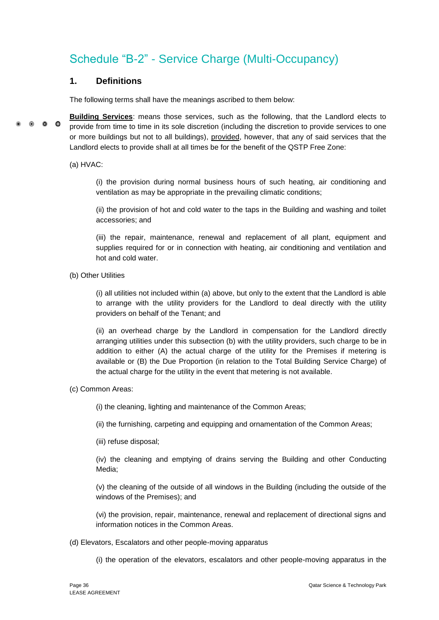# <span id="page-42-0"></span>Schedule "B-2" - Service Charge (Multi-Occupancy)

# **1. Definitions**

The following terms shall have the meanings ascribed to them below:

**Building Services**: means those services, such as the following, that the Landlord elects to  $\circ$   $\circ$   $\circ$ provide from time to time in its sole discretion (including the discretion to provide services to one or more buildings but not to all buildings), provided, however, that any of said services that the Landlord elects to provide shall at all times be for the benefit of the QSTP Free Zone:

(a) HVAC:

(i) the provision during normal business hours of such heating, air conditioning and ventilation as may be appropriate in the prevailing climatic conditions;

(ii) the provision of hot and cold water to the taps in the Building and washing and toilet accessories; and

(iii) the repair, maintenance, renewal and replacement of all plant, equipment and supplies required for or in connection with heating, air conditioning and ventilation and hot and cold water.

(b) Other Utilities

(i) all utilities not included within (a) above, but only to the extent that the Landlord is able to arrange with the utility providers for the Landlord to deal directly with the utility providers on behalf of the Tenant; and

(ii) an overhead charge by the Landlord in compensation for the Landlord directly arranging utilities under this subsection (b) with the utility providers, such charge to be in addition to either (A) the actual charge of the utility for the Premises if metering is available or (B) the Due Proportion (in relation to the Total Building Service Charge) of the actual charge for the utility in the event that metering is not available.

(c) Common Areas:

(i) the cleaning, lighting and maintenance of the Common Areas;

(ii) the furnishing, carpeting and equipping and ornamentation of the Common Areas;

(iii) refuse disposal;

(iv) the cleaning and emptying of drains serving the Building and other Conducting Media;

(v) the cleaning of the outside of all windows in the Building (including the outside of the windows of the Premises); and

(vi) the provision, repair, maintenance, renewal and replacement of directional signs and information notices in the Common Areas.

(d) Elevators, Escalators and other people-moving apparatus

(i) the operation of the elevators, escalators and other people-moving apparatus in the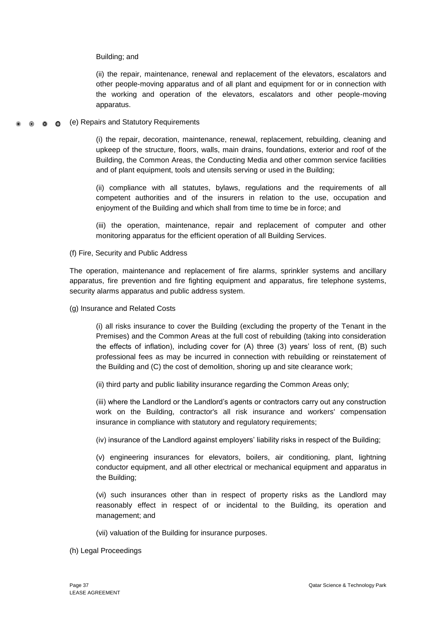#### Building; and

(ii) the repair, maintenance, renewal and replacement of the elevators, escalators and other people-moving apparatus and of all plant and equipment for or in connection with the working and operation of the elevators, escalators and other people-moving apparatus.

#### (e) Repairs and Statutory Requirements  $\circ$   $\circ$   $\circ$

(i) the repair, decoration, maintenance, renewal, replacement, rebuilding, cleaning and upkeep of the structure, floors, walls, main drains, foundations, exterior and roof of the Building, the Common Areas, the Conducting Media and other common service facilities and of plant equipment, tools and utensils serving or used in the Building;

(ii) compliance with all statutes, bylaws, regulations and the requirements of all competent authorities and of the insurers in relation to the use, occupation and enjoyment of the Building and which shall from time to time be in force; and

(iii) the operation, maintenance, repair and replacement of computer and other monitoring apparatus for the efficient operation of all Building Services.

#### (f) Fire, Security and Public Address

The operation, maintenance and replacement of fire alarms, sprinkler systems and ancillary apparatus, fire prevention and fire fighting equipment and apparatus, fire telephone systems, security alarms apparatus and public address system.

(g) Insurance and Related Costs

(i) all risks insurance to cover the Building (excluding the property of the Tenant in the Premises) and the Common Areas at the full cost of rebuilding (taking into consideration the effects of inflation), including cover for (A) three (3) years' loss of rent, (B) such professional fees as may be incurred in connection with rebuilding or reinstatement of the Building and (C) the cost of demolition, shoring up and site clearance work;

(ii) third party and public liability insurance regarding the Common Areas only;

(iii) where the Landlord or the Landlord's agents or contractors carry out any construction work on the Building, contractor's all risk insurance and workers' compensation insurance in compliance with statutory and regulatory requirements;

(iv) insurance of the Landlord against employers' liability risks in respect of the Building;

(v) engineering insurances for elevators, boilers, air conditioning, plant, lightning conductor equipment, and all other electrical or mechanical equipment and apparatus in the Building;

(vi) such insurances other than in respect of property risks as the Landlord may reasonably effect in respect of or incidental to the Building, its operation and management; and

(vii) valuation of the Building for insurance purposes.

(h) Legal Proceedings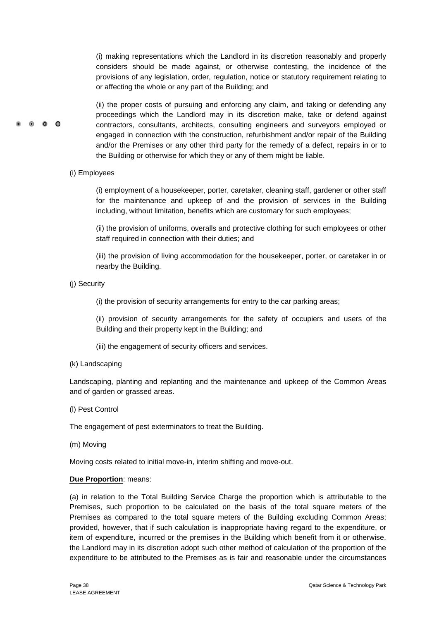(i) making representations which the Landlord in its discretion reasonably and properly considers should be made against, or otherwise contesting, the incidence of the provisions of any legislation, order, regulation, notice or statutory requirement relating to or affecting the whole or any part of the Building; and

(ii) the proper costs of pursuing and enforcing any claim, and taking or defending any proceedings which the Landlord may in its discretion make, take or defend against contractors, consultants, architects, consulting engineers and surveyors employed or engaged in connection with the construction, refurbishment and/or repair of the Building and/or the Premises or any other third party for the remedy of a defect, repairs in or to the Building or otherwise for which they or any of them might be liable.

(i) Employees

 $\bullet$   $\bullet$   $\bullet$ 

(i) employment of a housekeeper, porter, caretaker, cleaning staff, gardener or other staff for the maintenance and upkeep of and the provision of services in the Building including, without limitation, benefits which are customary for such employees;

(ii) the provision of uniforms, overalls and protective clothing for such employees or other staff required in connection with their duties; and

(iii) the provision of living accommodation for the housekeeper, porter, or caretaker in or nearby the Building.

(j) Security

(i) the provision of security arrangements for entry to the car parking areas;

(ii) provision of security arrangements for the safety of occupiers and users of the Building and their property kept in the Building; and

- (iii) the engagement of security officers and services.
- (k) Landscaping

Landscaping, planting and replanting and the maintenance and upkeep of the Common Areas and of garden or grassed areas.

(l) Pest Control

The engagement of pest exterminators to treat the Building.

(m) Moving

Moving costs related to initial move-in, interim shifting and move-out.

#### **Due Proportion**: means:

(a) in relation to the Total Building Service Charge the proportion which is attributable to the Premises, such proportion to be calculated on the basis of the total square meters of the Premises as compared to the total square meters of the Building excluding Common Areas; provided, however, that if such calculation is inappropriate having regard to the expenditure, or item of expenditure, incurred or the premises in the Building which benefit from it or otherwise, the Landlord may in its discretion adopt such other method of calculation of the proportion of the expenditure to be attributed to the Premises as is fair and reasonable under the circumstances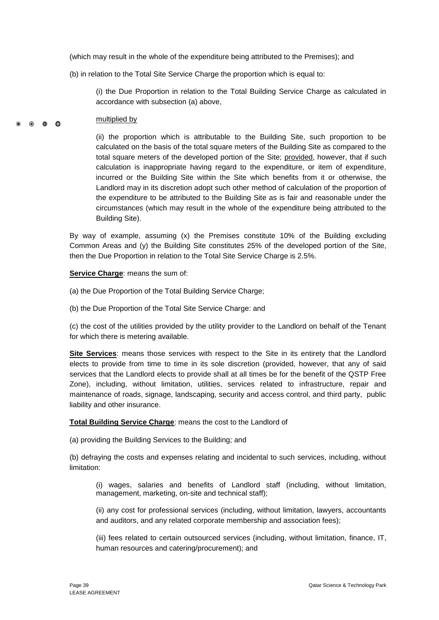(which may result in the whole of the expenditure being attributed to the Premises); and

(b) in relation to the Total Site Service Charge the proportion which is equal to:

(i) the Due Proportion in relation to the Total Building Service Charge as calculated in accordance with subsection (a) above,

#### multiplied by  $\bullet$   $\bullet$   $\bullet$

(ii) the proportion which is attributable to the Building Site, such proportion to be calculated on the basis of the total square meters of the Building Site as compared to the total square meters of the developed portion of the Site; provided, however, that if such calculation is inappropriate having regard to the expenditure, or item of expenditure, incurred or the Building Site within the Site which benefits from it or otherwise, the Landlord may in its discretion adopt such other method of calculation of the proportion of the expenditure to be attributed to the Building Site as is fair and reasonable under the circumstances (which may result in the whole of the expenditure being attributed to the Building Site).

By way of example, assuming (x) the Premises constitute 10% of the Building excluding Common Areas and (y) the Building Site constitutes 25% of the developed portion of the Site, then the Due Proportion in relation to the Total Site Service Charge is 2.5%.

**Service Charge**: means the sum of:

(a) the Due Proportion of the Total Building Service Charge;

(b) the Due Proportion of the Total Site Service Charge: and

(c) the cost of the utilities provided by the utility provider to the Landlord on behalf of the Tenant for which there is metering available.

**Site Services**: means those services with respect to the Site in its entirety that the Landlord elects to provide from time to time in its sole discretion (provided, however, that any of said services that the Landlord elects to provide shall at all times be for the benefit of the QSTP Free Zone), including, without limitation, utilities, services related to infrastructure, repair and maintenance of roads, signage, landscaping, security and access control, and third party, public liability and other insurance.

**Total Building Service Charge**: means the cost to the Landlord of

(a) providing the Building Services to the Building; and

(b) defraying the costs and expenses relating and incidental to such services, including, without limitation:

(i) wages, salaries and benefits of Landlord staff (including, without limitation, management, marketing, on-site and technical staff);

(ii) any cost for professional services (including, without limitation, lawyers, accountants and auditors, and any related corporate membership and association fees);

(iii) fees related to certain outsourced services (including, without limitation, finance, IT, human resources and catering/procurement); and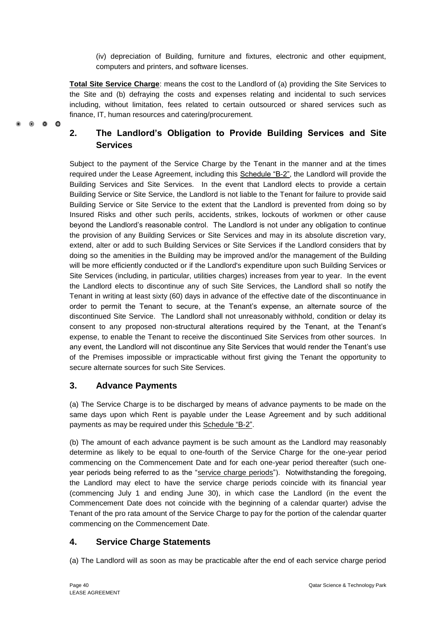(iv) depreciation of Building, furniture and fixtures, electronic and other equipment, computers and printers, and software licenses.

**Total Site Service Charge**: means the cost to the Landlord of (a) providing the Site Services to the Site and (b) defraying the costs and expenses relating and incidental to such services including, without limitation, fees related to certain outsourced or shared services such as finance, IT, human resources and catering/procurement.

# **2. The Landlord's Obligation to Provide Building Services and Site Services**

Subject to the payment of the Service Charge by the Tenant in the manner and at the times required under the Lease Agreement, including this Schedule "B-2", the Landlord will provide the Building Services and Site Services. In the event that Landlord elects to provide a certain Building Service or Site Service, the Landlord is not liable to the Tenant for failure to provide said Building Service or Site Service to the extent that the Landlord is prevented from doing so by Insured Risks and other such perils, accidents, strikes, lockouts of workmen or other cause beyond the Landlord's reasonable control. The Landlord is not under any obligation to continue the provision of any Building Services or Site Services and may in its absolute discretion vary, extend, alter or add to such Building Services or Site Services if the Landlord considers that by doing so the amenities in the Building may be improved and/or the management of the Building will be more efficiently conducted or if the Landlord's expenditure upon such Building Services or Site Services (including, in particular, utilities charges) increases from year to year. In the event the Landlord elects to discontinue any of such Site Services, the Landlord shall so notify the Tenant in writing at least sixty (60) days in advance of the effective date of the discontinuance in order to permit the Tenant to secure, at the Tenant's expense, an alternate source of the discontinued Site Service. The Landlord shall not unreasonably withhold, condition or delay its consent to any proposed non-structural alterations required by the Tenant, at the Tenant's expense, to enable the Tenant to receive the discontinued Site Services from other sources. In any event, the Landlord will not discontinue any Site Services that would render the Tenant's use of the Premises impossible or impracticable without first giving the Tenant the opportunity to secure alternate sources for such Site Services.

# **3. Advance Payments**

 $\bullet$   $\bullet$   $\bullet$ 

(a) The Service Charge is to be discharged by means of advance payments to be made on the same days upon which Rent is payable under the Lease Agreement and by such additional payments as may be required under this Schedule "B-2".

(b) The amount of each advance payment is be such amount as the Landlord may reasonably determine as likely to be equal to one-fourth of the Service Charge for the one-year period commencing on the Commencement Date and for each one-year period thereafter (such oneyear periods being referred to as the "service charge periods"). Notwithstanding the foregoing, the Landlord may elect to have the service charge periods coincide with its financial year (commencing July 1 and ending June 30), in which case the Landlord (in the event the Commencement Date does not coincide with the beginning of a calendar quarter) advise the Tenant of the pro rata amount of the Service Charge to pay for the portion of the calendar quarter commencing on the Commencement Date.

# **4. Service Charge Statements**

(a) The Landlord will as soon as may be practicable after the end of each service charge period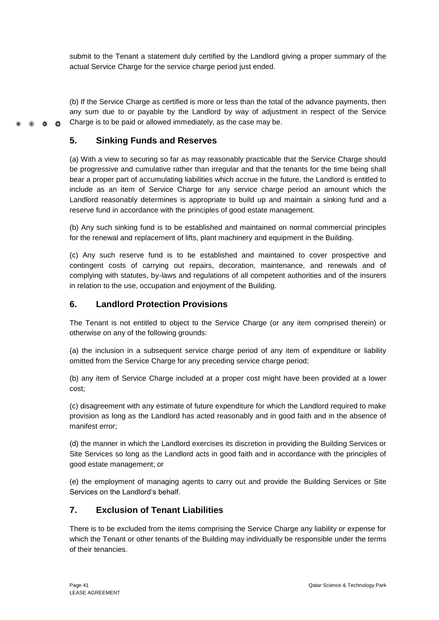submit to the Tenant a statement duly certified by the Landlord giving a proper summary of the actual Service Charge for the service charge period just ended.

(b) If the Service Charge as certified is more or less than the total of the advance payments, then any sum due to or payable by the Landlord by way of adjustment in respect of the Service Charge is to be paid or allowed immediately, as the case may be.

# **5. Sinking Funds and Reserves**

 $\bullet$   $\bullet$   $\bullet$ 

(a) With a view to securing so far as may reasonably practicable that the Service Charge should be progressive and cumulative rather than irregular and that the tenants for the time being shall bear a proper part of accumulating liabilities which accrue in the future, the Landlord is entitled to include as an item of Service Charge for any service charge period an amount which the Landlord reasonably determines is appropriate to build up and maintain a sinking fund and a reserve fund in accordance with the principles of good estate management.

(b) Any such sinking fund is to be established and maintained on normal commercial principles for the renewal and replacement of lifts, plant machinery and equipment in the Building.

(c) Any such reserve fund is to be established and maintained to cover prospective and contingent costs of carrying out repairs, decoration, maintenance, and renewals and of complying with statutes, by-laws and regulations of all competent authorities and of the insurers in relation to the use, occupation and enjoyment of the Building.

# **6. Landlord Protection Provisions**

The Tenant is not entitled to object to the Service Charge (or any item comprised therein) or otherwise on any of the following grounds:

(a) the inclusion in a subsequent service charge period of any item of expenditure or liability omitted from the Service Charge for any preceding service charge period;

(b) any item of Service Charge included at a proper cost might have been provided at a lower cost;

(c) disagreement with any estimate of future expenditure for which the Landlord required to make provision as long as the Landlord has acted reasonably and in good faith and in the absence of manifest error;

(d) the manner in which the Landlord exercises its discretion in providing the Building Services or Site Services so long as the Landlord acts in good faith and in accordance with the principles of good estate management; or

(e) the employment of managing agents to carry out and provide the Building Services or Site Services on the Landlord's behalf.

# **7. Exclusion of Tenant Liabilities**

There is to be excluded from the items comprising the Service Charge any liability or expense for which the Tenant or other tenants of the Building may individually be responsible under the terms of their tenancies.